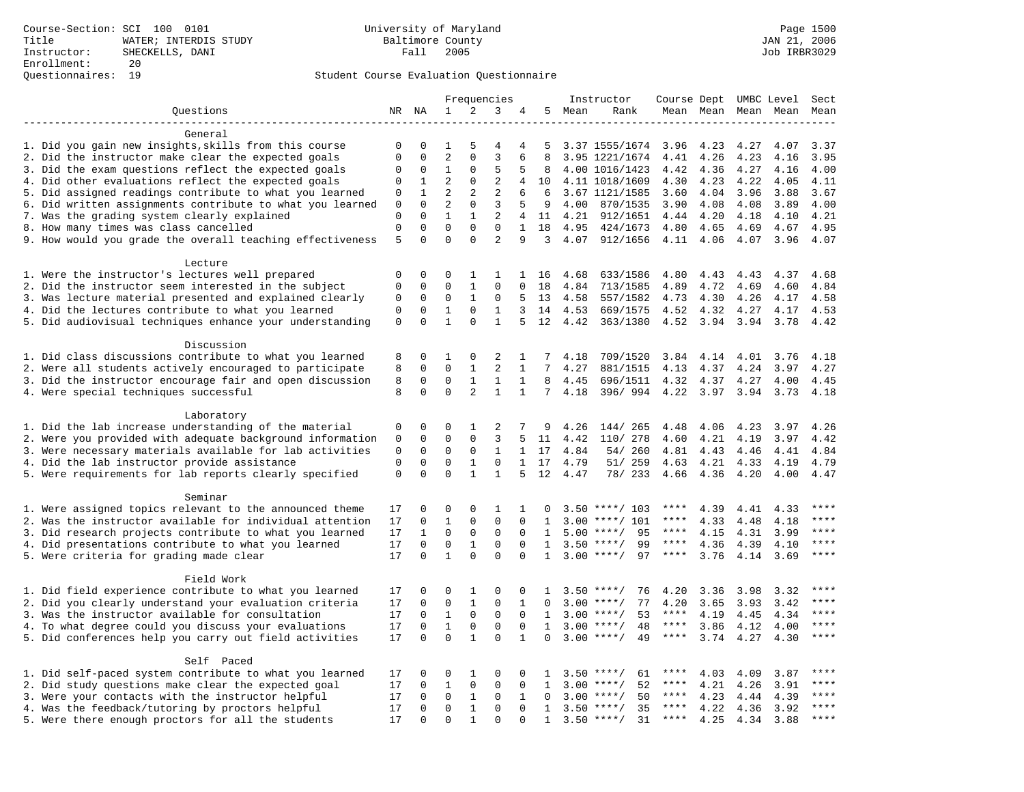|                                                                    |                             |                      |                          |                          | Frequencies    |                                |                 |         | Instructor         | Course Dept UMBC Level |      |                     |      | Sect        |
|--------------------------------------------------------------------|-----------------------------|----------------------|--------------------------|--------------------------|----------------|--------------------------------|-----------------|---------|--------------------|------------------------|------|---------------------|------|-------------|
| Questions                                                          |                             | NR NA                | 1                        | 2                        | 3              | 4                              |                 | 5 Mean  | Rank               |                        |      | Mean Mean Mean Mean |      | Mean        |
|                                                                    |                             |                      |                          |                          |                |                                |                 |         |                    |                        |      |                     |      |             |
| General                                                            |                             |                      |                          |                          |                |                                |                 |         |                    |                        |      |                     |      |             |
| 1. Did you gain new insights, skills from this course              | 0                           | 0                    | 1                        | 5                        | $\overline{4}$ | 4                              | 5               |         | 3.37 1555/1674     | 3.96                   | 4.23 | 4.27                | 4.07 | 3.37        |
| 2. Did the instructor make clear the expected goals                | $\mathbf{0}$                | $\mathbf 0$          | $\overline{2}$           | $\Omega$                 | $\overline{3}$ | 6                              | 8               |         | 3.95 1221/1674     | 4.41                   | 4.26 | 4.23                | 4.16 | 3.95        |
| 3. Did the exam questions reflect the expected goals               | $\mathbf 0$                 | $\Omega$             | 1                        | $\Omega$                 | 5              | 5                              | 8               |         | 4.00 1016/1423     | 4.42                   | 4.36 | 4.27                | 4.16 | 4.00        |
| 4. Did other evaluations reflect the expected goals                | $\mathbf 0$                 | 1                    | $\overline{2}$           | $\mathbf 0$              | $\overline{2}$ | 4                              | 10              |         | 4.11 1018/1609     | 4.30                   | 4.23 | 4.22                | 4.05 | 4.11        |
| 5. Did assigned readings contribute to what you learned            | $\mathbf 0$                 | $\mathbf{1}$         | $\overline{2}$           | $\overline{2}$           | $\overline{2}$ | 6                              | 6               |         | 3.67 1121/1585     | 3.60                   | 4.04 | 3.96                | 3.88 | 3.67        |
| 6. Did written assignments contribute to what you learned          | 0                           | $\mathbf 0$          | $\overline{2}$           | $\mathbf 0$              | 3              | 5                              | 9               | 4.00    | 870/1535           | 3.90                   | 4.08 | 4.08                | 3.89 | 4.00        |
| 7. Was the grading system clearly explained                        | $\mathbf 0$<br>$\mathbf{0}$ | $\Omega$<br>$\Omega$ | $\mathbf{1}$<br>$\Omega$ | $\mathbf{1}$<br>$\Omega$ | 2<br>$\Omega$  | $\overline{4}$<br>$\mathbf{1}$ |                 | 11 4.21 | 912/1651           | 4.44                   | 4.20 | 4.18                | 4.10 | 4.21        |
| 8. How many times was class cancelled                              | 5                           | $\Omega$             | $\Omega$                 | $\Omega$                 | $\overline{a}$ | 9                              | 18<br>3         | 4.95    | 424/1673           | 4.80                   | 4.65 | 4.69                | 4.67 | 4.95        |
| 9. How would you grade the overall teaching effectiveness          |                             |                      |                          |                          |                |                                |                 |         | 4.07 912/1656      | 4.11                   | 4.06 | 4.07                | 3.96 | 4.07        |
| Lecture                                                            |                             |                      |                          |                          |                |                                |                 |         |                    |                        |      |                     |      |             |
| 1. Were the instructor's lectures well prepared                    | $\mathbf 0$                 | $\mathbf 0$          | 0                        | 1                        | 1              |                                | 1 16            | 4.68    | 633/1586           | 4.80                   | 4.43 | 4.43                | 4.37 | 4.68        |
| 2. Did the instructor seem interested in the subject               | $\mathbf 0$                 | $\mathbf 0$          | 0                        | $\mathbf{1}$             | $\mathbf 0$    | $\Omega$                       | 18              | 4.84    | 713/1585           | 4.89                   | 4.72 | 4.69                | 4.60 | 4.84        |
| 3. Was lecture material presented and explained clearly            | 0                           | 0                    | $\mathbf 0$              | $\mathbf{1}$             | 0              | 5                              | 13              | 4.58    | 557/1582           | 4.73                   | 4.30 | 4.26                | 4.17 | 4.58        |
| 4. Did the lectures contribute to what you learned                 | $\mathbf{0}$                | $\Omega$             | $\mathbf{1}$             | $\Omega$                 | $\mathbf{1}$   | 3                              | 14              | 4.53    | 669/1575           | 4.52                   | 4.32 | 4.27                | 4.17 | 4.53        |
| 5. Did audiovisual techniques enhance your understanding           | $\mathsf 0$                 | $\mathbf 0$          | $\mathbf{1}$             | $\Omega$                 | $\mathbf{1}$   | 5                              | 12              | 4.42    | 363/1380           | 4.52                   | 3.94 | 3.94                | 3.78 | 4.42        |
|                                                                    |                             |                      |                          |                          |                |                                |                 |         |                    |                        |      |                     |      |             |
| Discussion                                                         |                             |                      |                          |                          |                |                                |                 |         |                    |                        |      |                     |      |             |
| 1. Did class discussions contribute to what you learned            | 8                           | $\mathbf 0$          | 1                        | $\mathbf 0$              | 2              | 1                              | 7               | 4.18    | 709/1520           | 3.84                   | 4.14 | 4.01                | 3.76 | 4.18        |
| 2. Were all students actively encouraged to participate            | 8                           | $\mathbf 0$          | $\mathbf 0$              | $\mathbf{1}$             | 2              | $\mathbf{1}$                   | 7               | 4.27    | 881/1515           | 4.13                   | 4.37 | 4.24                | 3.97 | 4.27        |
| 3. Did the instructor encourage fair and open discussion           | 8                           | $\mathbf 0$          | $\mathbf 0$              | $\mathbf{1}$             | $\mathbf{1}$   | 1                              | 8               | 4.45    | 696/1511           | 4.32                   | 4.37 | 4.27                | 4.00 | 4.45        |
| 4. Were special techniques successful                              | 8                           | $\Omega$             | $\Omega$                 | $\overline{2}$           | $\mathbf{1}$   | $\mathbf{1}$                   | $7\overline{ }$ | 4.18    | 396/994            | 4.22                   | 3.97 | 3.94                | 3.73 | 4.18        |
|                                                                    |                             |                      |                          |                          |                |                                |                 |         |                    |                        |      |                     |      |             |
| Laboratory                                                         |                             |                      |                          |                          |                |                                |                 |         |                    |                        |      |                     |      |             |
| 1. Did the lab increase understanding of the material              | 0                           | $\mathbf 0$          | 0                        | 1                        | 2              | 7                              | 9               | 4.26    | 144/265            | 4.48                   | 4.06 | 4.23                | 3.97 | 4.26        |
| 2. Were you provided with adequate background information          | $\mathbf 0$                 | $\mathbf 0$          | $\mathbf 0$              | $\mathbf 0$              | 3              |                                | 11              | 4.42    | 110/ 278           | 4.60                   | 4.21 | 4.19                | 3.97 | 4.42        |
| 3. Were necessary materials available for lab activities           | $\mathbf 0$                 | $\mathbf 0$          | $\Omega$                 | $\mathbf 0$              | $\mathbf{1}$   | $\mathbf{1}$                   | 17              | 4.84    | 54/ 260            | 4.81                   | 4.43 | 4.46                | 4.41 | 4.84        |
| 4. Did the lab instructor provide assistance                       | $\mathbf{0}$                | $\mathbf 0$          | $\mathbf 0$              | $\mathbf{1}$             | $\mathbf 0$    | $\mathbf{1}$                   | 17              | 4.79    | 51/ 259            | 4.63                   | 4.21 | 4.33                | 4.19 | 4.79        |
| 5. Were requirements for lab reports clearly specified             | $\mathsf 0$                 | $\mathbf 0$          | $\Omega$                 | $\mathbf{1}$             | $\mathbf{1}$   | 5                              | 12              | 4.47    | 78/ 233            | 4.66                   | 4.36 | 4.20                | 4.00 | 4.47        |
|                                                                    |                             |                      |                          |                          |                |                                |                 |         |                    |                        |      |                     |      |             |
| Seminar<br>1. Were assigned topics relevant to the announced theme | 17                          | $\mathbf 0$          | 0                        | $\mathbf{0}$             | 1              | 1                              |                 |         | $3.50$ ****/ 103   | ****                   | 4.39 | 4.41                | 4.33 | ****        |
| 2. Was the instructor available for individual attention           | 17                          | $\mathbf 0$          | $\mathbf{1}$             | $\mathbf 0$              | $\mathbf 0$    | 0                              | 1               | 3.00    | $***/101$          | ****                   | 4.33 | 4.48                | 4.18 | ****        |
| 3. Did research projects contribute to what you learned            | 17                          | $\mathbf{1}$         | $\mathbf 0$              | $\mathsf 0$              | $\mathbf 0$    | $\mathbf 0$                    | $\mathbf{1}$    |         | $5.00$ ****/<br>95 | $***$ * * *            | 4.15 | 4.31                | 3.99 | ****        |
| 4. Did presentations contribute to what you learned                | 17                          | $\mathbf 0$          | $\mathbf 0$              | $\mathbf{1}$             | $\mathbf 0$    | $\mathbf 0$                    | $\mathbf{1}$    | 3.50    | 99<br>$***/$       | $***$ * * *            | 4.36 | 4.39                | 4.10 | $***$       |
| 5. Were criteria for grading made clear                            | 17                          | $\mathbf 0$          | $\mathbf{1}$             | $\Omega$                 | $\Omega$       | $\Omega$                       | $\mathbf{1}$    |         | $3.00$ ****/<br>97 | $***$ * * *            | 3.76 | 4.14                | 3.69 | $***$       |
|                                                                    |                             |                      |                          |                          |                |                                |                 |         |                    |                        |      |                     |      |             |
| Field Work                                                         |                             |                      |                          |                          |                |                                |                 |         |                    |                        |      |                     |      |             |
| 1. Did field experience contribute to what you learned             | 17                          | $\mathbf 0$          | 0                        | 1                        | $\Omega$       | $\Omega$                       | -1.             |         | $3.50$ ****/<br>76 | 4.20                   | 3.36 | 3.98                | 3.32 | ****        |
| 2. Did you clearly understand your evaluation criteria             | 17                          | $\Omega$             | $\mathbf 0$              | $\mathbf{1}$             | $\Omega$       | $\mathbf{1}$                   | $\Omega$        |         | 77<br>$3.00$ ****/ | 4.20                   | 3.65 | 3.93                | 3.42 | $***$       |
| 3. Was the instructor available for consultation                   | 17                          | $\mathbf 0$          | $\mathbf{1}$             | $\mathbf 0$              | $\mathbf 0$    | $\mathbf{0}$                   | $\mathbf{1}$    |         | $3.00$ ****/<br>53 | $***$ * *              | 4.19 | 4.45                | 4.34 | $***$       |
| 4. To what degree could you discuss your evaluations               | 17                          | $\mathbf 0$          | $\mathbf{1}$             | $\mathbf 0$              | $\mathbf 0$    | $\mathbf 0$                    | 1               |         | $3.00$ ****/<br>48 | $***$ * * *            | 3.86 | 4.12                | 4.00 | $***$       |
| 5. Did conferences help you carry out field activities             | 17                          | $\Omega$             | $\Omega$                 | $\mathbf{1}$             | $\Omega$       | $\mathbf{1}$                   | $\Omega$        | 3.00    | $***$ /<br>49      | $***$ * * *            | 3.74 | 4.27                | 4.30 | $***$       |
|                                                                    |                             |                      |                          |                          |                |                                |                 |         |                    |                        |      |                     |      |             |
| Self Paced                                                         |                             |                      |                          |                          |                |                                |                 |         |                    |                        |      |                     |      |             |
| 1. Did self-paced system contribute to what you learned            | 17                          | $\mathbf 0$          | 0                        | 1                        | $\Omega$       | $\Omega$                       | $\mathbf{1}$    |         | 61<br>$3.50$ ****/ | ****                   | 4.03 | 4.09                | 3.87 | ****        |
| 2. Did study questions make clear the expected goal                | 17                          | $\mathbf 0$          | $\mathbf{1}$             | $\mathsf 0$              | $\mathbf 0$    | $\mathbf{0}$                   | $\mathbf{1}$    |         | $3.00$ ****/<br>52 | $***$ * * *            | 4.21 | 4.26                | 3.91 | $***$ * * * |
| 3. Were your contacts with the instructor helpful                  | 17                          | $\mathbf 0$          | $\mathbf 0$              | 1                        | 0              | 1                              | $\Omega$        | 3.00    | 50<br>$***/$       | ****                   | 4.23 | 4.44                | 4.39 | ****        |
| 4. Was the feedback/tutoring by proctors helpful                   | 17                          | $\mathbf 0$          | $\mathbf 0$              | $\mathbf{1}$             | $\mathbf 0$    | 0                              | $\mathbf{1}$    | 3.50    | $***/$<br>35       | ****                   | 4.22 | 4.36                | 3.92 | ****        |
| 5. Were there enough proctors for all the students                 | 17                          | $\Omega$             | $\Omega$                 | $\mathbf{1}$             | $\Omega$       |                                | $\mathbf{1}$    |         | $3.50$ ****/<br>31 | $***$ * * *            | 4.25 | 4.34                | 3.88 | ****        |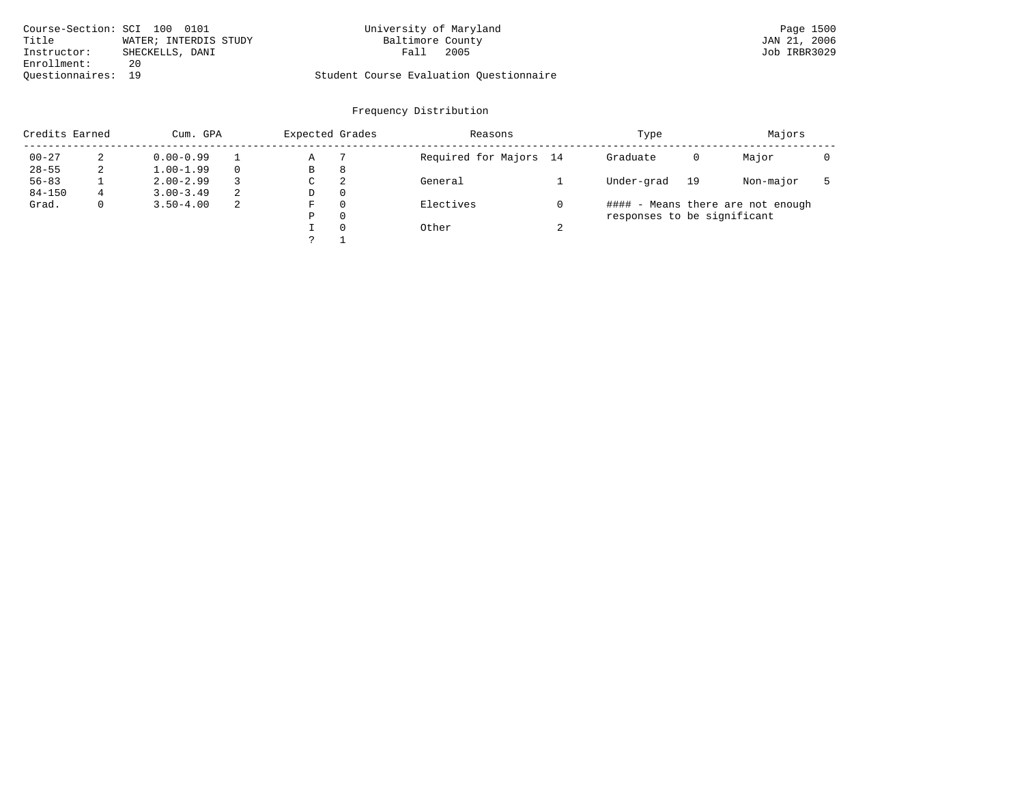| Course-Section: SCI 100 0101 |                       | University of Maryland                  |      | Page 1500    |
|------------------------------|-----------------------|-----------------------------------------|------|--------------|
| Title                        | WATER; INTERDIS STUDY | Baltimore County                        |      | JAN 21, 2006 |
| Instructor:                  | SHECKELLS, DANI       | Fall                                    | 2005 | Job IRBR3029 |
| Enrollment:                  | 20                    |                                         |      |              |
| Ouestionnaires: 19           |                       | Student Course Evaluation Ouestionnaire |      |              |

| Credits Earned |   | Cum. GPA      |   | Expected Grades |          | Reasons                |        | Type                        |    | Majors                            |  |
|----------------|---|---------------|---|-----------------|----------|------------------------|--------|-----------------------------|----|-----------------------------------|--|
| $00 - 27$      |   | $0.00 - 0.99$ |   | Α               |          | Required for Majors 14 |        | Graduate                    | 0  | Major                             |  |
| $28 - 55$      |   | $1.00 - 1.99$ |   | B               | 8        |                        |        |                             |    |                                   |  |
| $56 - 83$      |   | $2.00 - 2.99$ |   | C               | 2        | General                |        | Under-grad                  | 19 | Non-major                         |  |
| $84 - 150$     | 4 | $3.00 - 3.49$ | 2 | D               | $\Omega$ |                        |        |                             |    |                                   |  |
| Grad.          |   | $3.50 - 4.00$ | 2 | F               | $\Omega$ | Electives              |        |                             |    | #### - Means there are not enough |  |
|                |   |               |   | Ρ               | 0        |                        |        | responses to be significant |    |                                   |  |
|                |   |               |   |                 | $\Omega$ | Other                  | $\sim$ |                             |    |                                   |  |
|                |   |               |   |                 |          |                        |        |                             |    |                                   |  |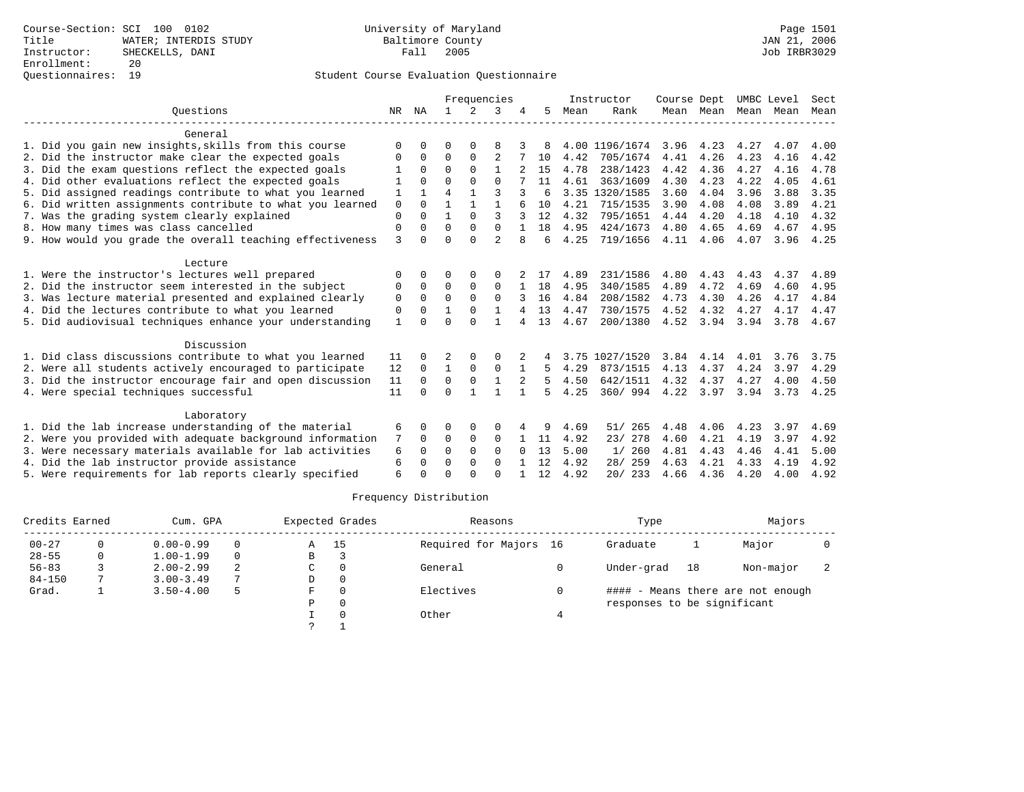|                                                           |              |          |                |             | Frequencies    |              |     |      | Instructor     | Course Dept |           | UMBC Level |      | Sect |
|-----------------------------------------------------------|--------------|----------|----------------|-------------|----------------|--------------|-----|------|----------------|-------------|-----------|------------|------|------|
| Ouestions                                                 | NR.          | ΝA       |                | 2           | 3              |              | .5  | Mean | Rank           |             | Mean Mean | Mean       | Mean | Mean |
| General                                                   |              |          |                |             |                |              |     |      |                |             |           |            |      |      |
| 1. Did you gain new insights, skills from this course     | $\Omega$     |          | O              |             |                |              |     |      | 4.00 1196/1674 | 3.96        | 4.23      | 4.27       | 4.07 | 4.00 |
| 2. Did the instructor make clear the expected goals       | O            | $\Omega$ | $\Omega$       | $\Omega$    | $\overline{2}$ |              | 10  | 4.42 | 705/1674       | 4.41        | 4.26      | 4.23       | 4.16 | 4.42 |
| 3. Did the exam questions reflect the expected goals      |              | $\Omega$ | $\Omega$       | $\Omega$    |                |              | 15  | 4.78 | 238/1423       | 4.42        | 4.36      | 4.27       | 4.16 | 4.78 |
| 4. Did other evaluations reflect the expected goals       |              | $\cap$   | $\Omega$       | $\Omega$    | $\cap$         |              | 11  | 4.61 | 363/1609       | 4.30        | 4.23      | 4.22       | 4.05 | 4.61 |
| 5. Did assigned readings contribute to what you learned   |              |          | $\overline{4}$ |             | ζ              | 3            | б   |      | 3.35 1320/1585 | 3.60        | 4.04      | 3.96       | 3.88 | 3.35 |
| 6. Did written assignments contribute to what you learned | $\mathbf 0$  | $\cap$   |                |             | 1              |              | 10  | 4.21 | 715/1535       | 3.90        | 4.08      | 4.08       | 3.89 | 4.21 |
| 7. Was the grading system clearly explained               | $\Omega$     |          |                | $\Omega$    | ζ              |              | 12  | 4.32 | 795/1651       | 4.44        | 4.20      | 4.18       | 4.10 | 4.32 |
| 8. How many times was class cancelled                     | $\mathbf 0$  | $\Omega$ | $\Omega$       | $\Omega$    | $\Omega$       |              | 18  | 4.95 | 424/1673       | 4.80        | 4.65      | 4.69       | 4.67 | 4.95 |
| 9. How would you grade the overall teaching effectiveness | 3            |          | $\Omega$       | $\Omega$    | $\overline{2}$ |              | 6   | 4.25 | 719/1656       | 4.11        | 4.06      | 4.07       | 3.96 | 4.25 |
| Lecture                                                   |              |          |                |             |                |              |     |      |                |             |           |            |      |      |
| 1. Were the instructor's lectures well prepared           | $\Omega$     |          | $\Omega$       | $\Omega$    | $\Omega$       |              | -17 | 4.89 | 231/1586       | 4.80        | 4.43      | 4.43       | 4.37 | 4.89 |
| 2. Did the instructor seem interested in the subject      | 0            | $\Omega$ | $\Omega$       | $\Omega$    | $\Omega$       |              | 18  | 4.95 | 340/1585       | 4.89        | 4.72      | 4.69       | 4.60 | 4.95 |
| 3. Was lecture material presented and explained clearly   | 0            | $\Omega$ | $\Omega$       | $\Omega$    | $\Omega$       |              | 16  | 4.84 | 208/1582       | 4.73        | 4.30      | 4.26       | 4.17 | 4.84 |
| 4. Did the lectures contribute to what you learned        | 0            |          |                |             |                |              | 13  | 4.47 | 730/1575       | 4.52        | 4.32      | 4.27       | 4.17 | 4.47 |
| 5. Did audiovisual techniques enhance your understanding  | $\mathbf{1}$ |          | $\cap$         | $\cap$      |                | 4            | 13  | 4.67 | 200/1380       | 4.52        | 3.94      | 3.94       | 3.78 | 4.67 |
| Discussion                                                |              |          |                |             |                |              |     |      |                |             |           |            |      |      |
| 1. Did class discussions contribute to what you learned   | 11           |          | 2              |             |                |              |     |      | 3.75 1027/1520 | 3.84        | 4.14      | 4.01       | 3.76 | 3.75 |
| 2. Were all students actively encouraged to participate   | 12           | $\Omega$ | $\mathbf{1}$   | 0           | $\Omega$       |              | 5   | 4.29 | 873/1515       | 4.13        | 4.37      | 4.24       | 3.97 | 4.29 |
| 3. Did the instructor encourage fair and open discussion  | 11           | $\Omega$ | $\Omega$       | $\mathbf 0$ |                | 2            | 5   | 4.50 | 642/1511       | 4.32        | 4.37      | 4.27       | 4.00 | 4.50 |
| 4. Were special techniques successful                     | 11           | $\cap$   | $\Omega$       |             | 1              |              | 5   | 4.25 | 360/994        |             | 4.22 3.97 | 3.94       | 3.73 | 4.25 |
| Laboratory                                                |              |          |                |             |                |              |     |      |                |             |           |            |      |      |
| 1. Did the lab increase understanding of the material     | 6            |          | $\Omega$       | $\Omega$    | $\Omega$       | 4            | 9   | 4.69 | 265<br>51/     | 4.48        | 4.06      | 4.23       | 3.97 | 4.69 |
| 2. Were you provided with adequate background information | 7            | $\Omega$ | $\Omega$       | $\mathbf 0$ | 0              |              | 11  | 4.92 | 23/ 278        | 4.60        | 4.21      | 4.19       | 3.97 | 4.92 |
| 3. Were necessary materials available for lab activities  | 6            |          | $\Omega$       | $\Omega$    | $\Omega$       | <sup>n</sup> | 13  | 5.00 | 1/260          | 4.81        | 4.43      | 4.46       | 4.41 | 5.00 |
| 4. Did the lab instructor provide assistance              | 6            | $\Omega$ | $\Omega$       | $\Omega$    | $\Omega$       |              | 12  | 4.92 | 28/ 259        | 4.63        | 4.21      | 4.33       | 4.19 | 4.92 |
| 5. Were requirements for lab reports clearly specified    | 6            |          | $\cap$         |             | $\cap$         |              | 12  | 4.92 | 20/233         | 4.66        | 4.36      | 4.20       | 4.00 | 4.92 |

| Credits Earned |   | Cum. GPA      |          |   | Expected Grades | Reasons                | Type                        |    | Majors                            |  |
|----------------|---|---------------|----------|---|-----------------|------------------------|-----------------------------|----|-----------------------------------|--|
| $00 - 27$      |   | $0.00 - 0.99$ | $\Omega$ | Α | -15             | Required for Majors 16 | Graduate                    |    | Major                             |  |
| $28 - 55$      | 0 | $1.00 - 1.99$ | $\Omega$ | В |                 |                        |                             |    |                                   |  |
| $56 - 83$      |   | $2.00 - 2.99$ | 2        | C |                 | General                | Under-grad                  | 18 | Non-major                         |  |
| $84 - 150$     |   | $3.00 - 3.49$ | 7        | D |                 |                        |                             |    |                                   |  |
| Grad.          |   | $3.50 - 4.00$ | 5        | F |                 | Electives              |                             |    | #### - Means there are not enough |  |
|                |   |               |          | P |                 |                        | responses to be significant |    |                                   |  |
|                |   |               |          |   |                 | Other                  |                             |    |                                   |  |
|                |   |               |          |   |                 |                        |                             |    |                                   |  |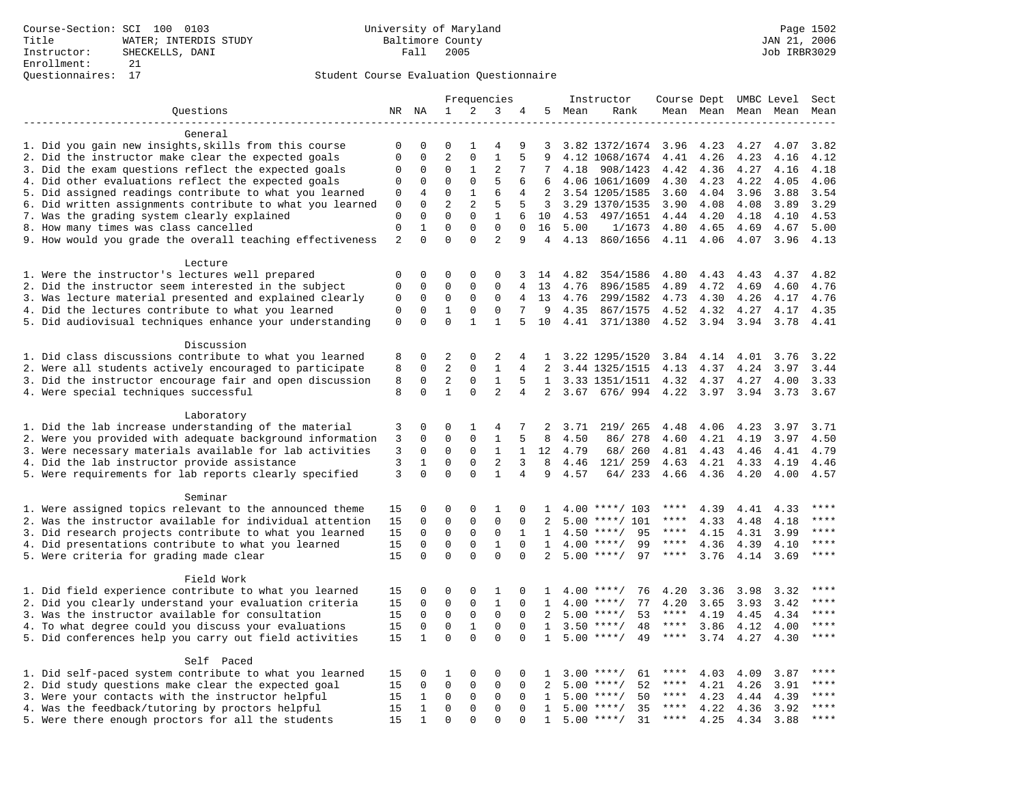|                                                                                                         |                |                   |                |                | Frequencies    |                |                   |              | Instructor               | Course Dept UMBC Level |              |                     |              | Sect           |
|---------------------------------------------------------------------------------------------------------|----------------|-------------------|----------------|----------------|----------------|----------------|-------------------|--------------|--------------------------|------------------------|--------------|---------------------|--------------|----------------|
| Questions                                                                                               |                | NR NA             | 1              | 2              | 3              | 4              |                   | 5 Mean       | Rank                     |                        |              | Mean Mean Mean Mean |              | Mean           |
|                                                                                                         |                |                   |                |                |                |                |                   |              |                          |                        |              |                     |              |                |
| General                                                                                                 |                |                   |                |                |                |                |                   |              |                          |                        |              |                     |              |                |
| 1. Did you gain new insights, skills from this course                                                   | 0              | 0                 | 0              | 1              | 4              | 9              | 3                 |              | 3.82 1372/1674           | 3.96                   | 4.23         | 4.27                | 4.07         | 3.82           |
| 2. Did the instructor make clear the expected goals                                                     | $\mathbf{0}$   | $\mathbf 0$       | $\overline{2}$ | $\mathbf 0$    | $\mathbf{1}$   |                | 9                 |              | 4.12 1068/1674           | 4.41                   | 4.26         | 4.23                | 4.16         | 4.12           |
| 3. Did the exam questions reflect the expected goals                                                    | $\mathbf 0$    | $\Omega$          | $\Omega$       | 1              | $\overline{c}$ | 7              | 7                 | 4.18         | 908/1423                 | 4.42                   | 4.36         | 4.27                | 4.16         | 4.18           |
| 4. Did other evaluations reflect the expected goals                                                     | $\mathbf 0$    | $\mathbf 0$       | $\mathbf 0$    | $\mathbf 0$    | 5              | 6              | 6                 |              | 4.06 1061/1609           | 4.30                   | 4.23         | 4.22                | 4.05         | 4.06           |
| 5. Did assigned readings contribute to what you learned                                                 | $\mathbf 0$    | 4                 | $\mathbf 0$    | $\mathbf{1}$   | 6              | $\overline{4}$ | 2                 |              | 3.54 1205/1585           | 3.60                   | 4.04         | 3.96                | 3.88         | 3.54           |
| 6. Did written assignments contribute to what you learned                                               | 0              | $\mathbf 0$       | $\overline{2}$ | $\overline{2}$ | 5              | 5              | 3                 |              | 3.29 1370/1535           | 3.90                   | 4.08         | 4.08                | 3.89         | 3.29           |
| 7. Was the grading system clearly explained                                                             | $\mathbf 0$    | $\Omega$          | $\Omega$       | $\Omega$       | 1              | 6              | 10                | 4.53         | 497/1651                 | 4.44                   | 4.20         | 4.18                | 4.10         | 4.53           |
| 8. How many times was class cancelled                                                                   | $\mathbf{0}$   | $\mathbf{1}$      | $\mathbf 0$    | $\mathbf{0}$   | $\Omega$       | $\Omega$       | 16                | 5.00         | 1/1673                   | 4.80                   | 4.65         | 4.69                | 4.67         | 5.00           |
| 9. How would you grade the overall teaching effectiveness                                               | $\overline{2}$ | $\Omega$          | $\Omega$       | $\Omega$       | $\overline{a}$ | 9              | $\overline{4}$    | 4.13         | 860/1656                 | 4.11                   | 4.06         | 4.07                | 3.96         | 4.13           |
|                                                                                                         |                |                   |                |                |                |                |                   |              |                          |                        |              |                     |              |                |
| Lecture                                                                                                 | $\mathbf 0$    | $\mathbf 0$       | 0              | $\mathbf 0$    | 0              | 3              | 14                | 4.82         |                          |                        |              | 4.43                | 4.37         | 4.82           |
| 1. Were the instructor's lectures well prepared<br>2. Did the instructor seem interested in the subject | $\mathbf 0$    | $\mathbf 0$       | 0              | $\mathbf 0$    | 0              | 4              | 13                | 4.76         | 354/1586<br>896/1585     | 4.80<br>4.89           | 4.43<br>4.72 | 4.69                | 4.60         | 4.76           |
| 3. Was lecture material presented and explained clearly                                                 | 0              | $\mathbf 0$       | 0              | $\mathbf 0$    | 0              | 4              | 13                | 4.76         | 299/1582                 | 4.73                   | 4.30         | 4.26                | 4.17         | 4.76           |
| 4. Did the lectures contribute to what you learned                                                      | $\mathbf{0}$   | $\Omega$          | $\mathbf{1}$   | $\Omega$       | $\Omega$       | 7              | 9                 | 4.35         | 867/1575                 | 4.52                   | 4.32         | 4.27                | 4.17         | 4.35           |
| 5. Did audiovisual techniques enhance your understanding                                                | $\mathsf 0$    | $\mathbf 0$       | $\mathbf 0$    | $\mathbf{1}$   | $\mathbf{1}$   | 5              | 10                | 4.41         | 371/1380                 | 4.52                   | 3.94         | 3.94                | 3.78         | 4.41           |
|                                                                                                         |                |                   |                |                |                |                |                   |              |                          |                        |              |                     |              |                |
| Discussion                                                                                              |                |                   |                |                |                |                |                   |              |                          |                        |              |                     |              |                |
| 1. Did class discussions contribute to what you learned                                                 | 8              | $\mathbf 0$       | 2              | $\mathbf 0$    | 2              | 4              | 1                 |              | 3.22 1295/1520           | 3.84                   | 4.14         | 4.01                | 3.76         | 3.22           |
| 2. Were all students actively encouraged to participate                                                 | 8              | $\mathbf 0$       | $\overline{a}$ | $\mathbf 0$    | $\mathbf{1}$   | 4              | 2                 |              | 3.44 1325/1515           | 4.13                   | 4.37         | 4.24                | 3.97         | 3.44           |
| 3. Did the instructor encourage fair and open discussion                                                | 8              | $\mathbf 0$       | $\overline{2}$ | $\mathbf{0}$   | $\mathbf{1}$   | 5              | $\mathbf{1}$      |              | 3.33 1351/1511           | 4.32                   | 4.37         | 4.27                | 4.00         | 3.33           |
| 4. Were special techniques successful                                                                   | 8              | $\Omega$          | $\mathbf{1}$   | $\Omega$       | $\overline{2}$ | $\overline{4}$ | $\overline{2}$    | 3.67         | 676/994                  | 4.22                   | 3.97         | 3.94                | 3.73         | 3.67           |
|                                                                                                         |                |                   |                |                |                |                |                   |              |                          |                        |              |                     |              |                |
| Laboratory                                                                                              |                |                   |                |                |                |                |                   |              |                          |                        |              |                     |              |                |
| 1. Did the lab increase understanding of the material                                                   | 3              | $\mathbf 0$       | 0              | 1              | 4              | 7              | 2                 | 3.71         | 219/ 265                 | 4.48                   | 4.06         | 4.23                | 3.97         | 3.71           |
| 2. Were you provided with adequate background information                                               | 3              | $\mathbf 0$       | $\mathbf 0$    | $\mathbf 0$    | 1              | 5              | 8                 | 4.50         | 86/278                   | 4.60                   | 4.21         | 4.19                | 3.97         | 4.50           |
| 3. Were necessary materials available for lab activities                                                | 3              | $\mathbf 0$       | $\Omega$       | $\Omega$       | 1              | $\mathbf{1}$   | 12                | 4.79         | 68/ 260                  | 4.81                   | 4.43         | 4.46                | 4.41         | 4.79           |
| 4. Did the lab instructor provide assistance                                                            | 3              | 1                 | $\mathbf 0$    | $\mathbf{0}$   | $\overline{2}$ | 3              | 8                 | 4.46         | 121/ 259                 | 4.63                   | 4.21         | 4.33                | 4.19         | 4.46           |
| 5. Were requirements for lab reports clearly specified                                                  | 3              | $\Omega$          | $\Omega$       | $\Omega$       | $\mathbf{1}$   | $\overline{4}$ | 9                 | 4.57         | 64/ 233                  | 4.66                   | 4.36         | 4.20                | 4.00         | 4.57           |
|                                                                                                         |                |                   |                |                |                |                |                   |              |                          |                        |              |                     |              |                |
| Seminar                                                                                                 |                |                   |                |                |                |                |                   |              |                          |                        |              |                     |              |                |
| 1. Were assigned topics relevant to the announced theme                                                 | 15             | $\mathbf 0$       | 0              | $\mathbf{0}$   | 1              | 0              | 1                 |              | $4.00$ ****/ 103         | ****                   | 4.39         | 4.41                | 4.33         | ****           |
| 2. Was the instructor available for individual attention                                                | 15             | $\mathbf 0$       | $\mathbf 0$    | $\mathbf 0$    | $\mathbf 0$    | 0              | 2                 | 5.00         | $***/101$                | ****                   | 4.33         | 4.48                | 4.18         | ****           |
| 3. Did research projects contribute to what you learned                                                 | 15             | $\mathbf 0$       | $\mathbf 0$    | $\mathsf 0$    | $\mathbf 0$    | 1              | 1                 |              | $4.50$ ****/<br>95       | $***$ * * *            | 4.15         | 4.31                | 3.99         | ****           |
| 4. Did presentations contribute to what you learned                                                     | 15             | $\mathbf 0$       | $\mathbf 0$    | $\mathbf 0$    | $\mathbf{1}$   | $\mathbf 0$    | $\mathbf{1}$      | 4.00         | 99<br>$***/$             | $***$ * * *            | 4.36         | 4.39                | 4.10         | $***$          |
| 5. Were criteria for grading made clear                                                                 | 15             | $\mathbf 0$       | $\Omega$       | $\Omega$       | $\Omega$       | $\Omega$       | 2                 |              | $5.00$ ****/<br>97       | $***$ * * *            | 3.76         | 4.14                | 3.69         | $***$          |
|                                                                                                         |                |                   |                |                |                |                |                   |              |                          |                        |              |                     |              |                |
| Field Work                                                                                              |                |                   |                |                |                |                |                   |              |                          |                        |              |                     |              | ****           |
| 1. Did field experience contribute to what you learned                                                  | 15             | $\mathbf 0$       | 0              | $\mathbf 0$    | 1              | $\Omega$       | -1.               |              | $4.00$ ****/<br>76       | 4.20                   | 3.36         | 3.98                | 3.32         | $***$          |
| 2. Did you clearly understand your evaluation criteria                                                  | 15             | $\Omega$          | $\mathbf 0$    | $\mathsf 0$    | $\mathbf{1}$   | $\Omega$       | $\mathbf{1}$      |              | 77<br>$4.00$ ****/       | 4.20                   | 3.65         | 3.93                | 3.42         |                |
| 3. Was the instructor available for consultation                                                        | 15             | $\mathbf 0$       | $\mathbf 0$    | $\mathsf 0$    | $\mathbf 0$    | $\mathbf{0}$   | 2                 |              | $5.00$ ****/<br>53       | $***$ * *              | 4.19         | 4.45                | 4.34         | $***$<br>$***$ |
| 4. To what degree could you discuss your evaluations                                                    | 15             | $\mathbf 0$       | $\mathbf 0$    | $\mathbf{1}$   | $\mathbf 0$    | 0              | 1                 |              | $3.50$ ****/<br>48       | $***$ * * *            | 3.86         | 4.12                | 4.00         |                |
| 5. Did conferences help you carry out field activities                                                  | 15             | $\mathbf{1}$      | $\Omega$       | $\Omega$       | $\Omega$       | $\Omega$       | $\mathbf{1}$      | 5.00         | $***$ /<br>49            | $***$ * * *            | 3.74         | 4.27                | 4.30         | $***$          |
| Self Paced                                                                                              |                |                   |                |                |                |                |                   |              |                          |                        |              |                     |              |                |
| 1. Did self-paced system contribute to what you learned                                                 | 15             | 0                 | 1              | $\mathbf 0$    | $\Omega$       | 0              | $\mathbf{1}$      |              | $3.00$ ****/<br>61       | ****                   | 4.03         | 4.09                | 3.87         | $* * * *$      |
| 2. Did study questions make clear the expected goal                                                     | 15             | $\mathbf 0$       | $\mathbf 0$    | $\mathbf 0$    | $\mathbf 0$    | $\mathbf{0}$   | 2                 |              | $5.00$ ****/<br>52       | $***$ * *              | 4.21         | 4.26                | 3.91         | $***$ * * *    |
| 3. Were your contacts with the instructor helpful                                                       | 15             | 1                 | $\mathbf 0$    | $\mathbf 0$    | 0              | 0              |                   |              | 50<br>$***/$             | ****                   |              |                     |              | ****           |
|                                                                                                         |                |                   | $\mathbf 0$    | $\mathbf 0$    | $\mathbf 0$    | $\Omega$       | 1<br>$\mathbf{1}$ | 5.00<br>5.00 | $***/$                   | ****                   | 4.23         | 4.44                | 4.39         | ****           |
| 4. Was the feedback/tutoring by proctors helpful<br>5. Were there enough proctors for all the students  | 15<br>15       | 1<br>$\mathbf{1}$ | $\Omega$       | $\Omega$       | $\Omega$       |                | $\mathbf{1}$      |              | 35<br>$5.00$ ****/<br>31 | $***$ * * *            | 4.22<br>4.25 | 4.36                | 3.92<br>3.88 | ****           |
|                                                                                                         |                |                   |                |                |                |                |                   |              |                          |                        |              | 4.34                |              |                |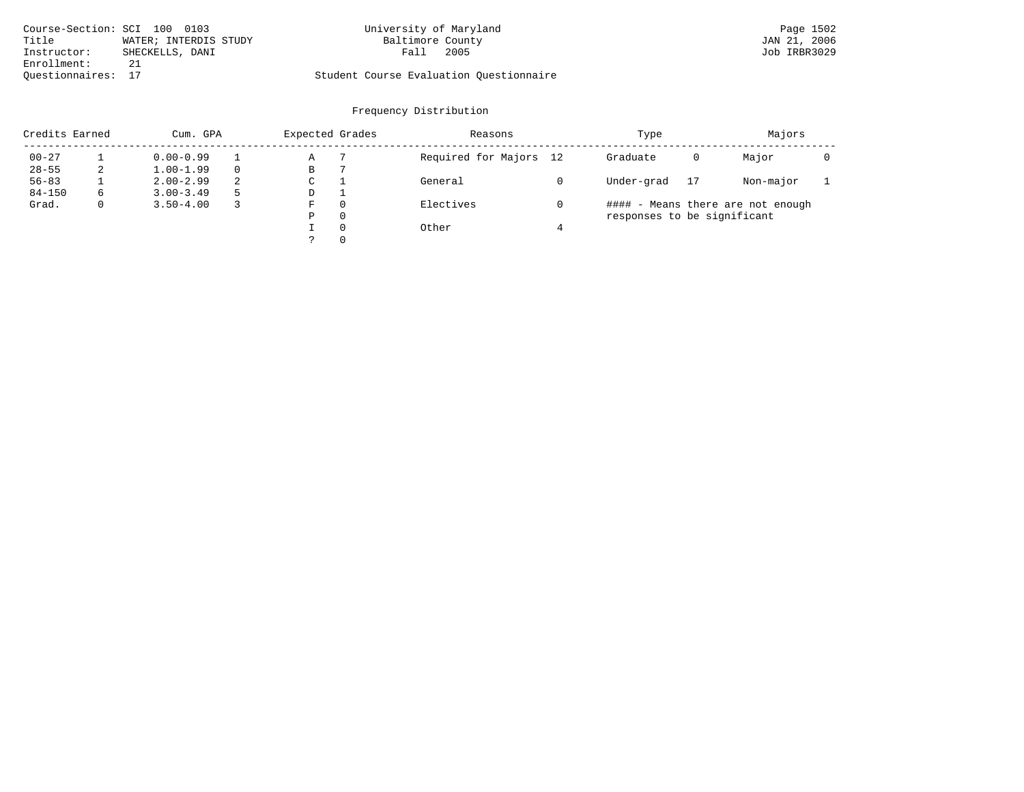| Course-Section: SCI 100 0103 | University of Maryland  |                                         | Page 1502    |
|------------------------------|-------------------------|-----------------------------------------|--------------|
| Title                        | WATER; INTERDIS STUDY   | Baltimore County                        | JAN 21, 2006 |
| Instructor:                  | Fall<br>SHECKELLS, DANI | 2005                                    | Job IRBR3029 |
| Enrollment:                  |                         |                                         |              |
| Ouestionnaires: 17           |                         | Student Course Evaluation Questionnaire |              |

| Credits Earned |              | Cum. GPA      |   | Expected Grades |          | Reasons                | Type                        |    | Majors                            |  |
|----------------|--------------|---------------|---|-----------------|----------|------------------------|-----------------------------|----|-----------------------------------|--|
| $00 - 27$      |              | $0.00 - 0.99$ |   | Α               |          | Required for Majors 12 | Graduate                    | 0  | Major                             |  |
| $28 - 55$      | 2            | $1.00 - 1.99$ |   | В               |          |                        |                             |    |                                   |  |
| $56 - 83$      |              | $2.00 - 2.99$ | 2 | C               |          | General                | Under-grad                  | 17 | Non-major                         |  |
| $84 - 150$     | 6            | $3.00 - 3.49$ |   | D               |          |                        |                             |    |                                   |  |
| Grad.          | $\mathbf{0}$ | $3.50 - 4.00$ |   | F               | $\Omega$ | Electives              |                             |    | #### - Means there are not enough |  |
|                |              |               |   | P               | $\Omega$ |                        | responses to be significant |    |                                   |  |
|                |              |               |   |                 | $\Omega$ | Other                  |                             |    |                                   |  |
|                |              |               |   |                 | $\Omega$ |                        |                             |    |                                   |  |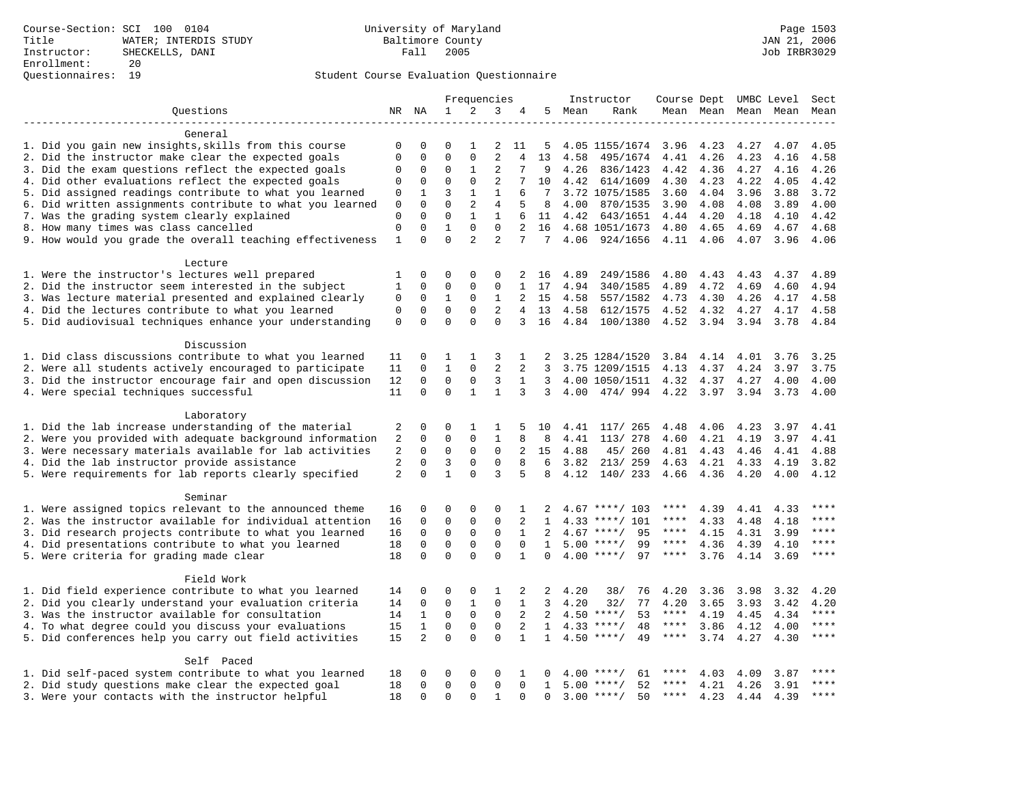|                                                           |              |                |                | Frequencies    |                |              |              |        | Instructor         | Course Dept UMBC Level |      |      |                          | Sect        |
|-----------------------------------------------------------|--------------|----------------|----------------|----------------|----------------|--------------|--------------|--------|--------------------|------------------------|------|------|--------------------------|-------------|
| Ouestions                                                 |              | NR NA          | $\mathbf{1}$   | 2              | 3              | 4            |              | 5 Mean | Rank               |                        |      |      | Mean Mean Mean Mean Mean |             |
|                                                           |              |                |                |                |                |              |              |        |                    |                        |      |      |                          |             |
| General                                                   |              |                |                |                |                |              |              |        |                    |                        |      |      |                          |             |
| 1. Did you gain new insights, skills from this course     | 0            | $\Omega$       | $\Omega$       | -1             | 2              | 11           | 5            |        | 4.05 1155/1674     | 3.96                   | 4.23 | 4.27 | 4.07                     | 4.05        |
| 2. Did the instructor make clear the expected goals       | $\Omega$     | $\mathbf 0$    | $\Omega$       | $\Omega$       | $\overline{2}$ | 4            | 13           | 4.58   | 495/1674           | 4.41                   | 4.26 | 4.23 | 4.16                     | 4.58        |
| 3. Did the exam questions reflect the expected goals      | 0            | 0              | 0              | 1              | 2              | 7            | 9            | 4.26   | 836/1423           | 4.42                   | 4.36 | 4.27 | 4.16                     | 4.26        |
| 4. Did other evaluations reflect the expected goals       | 0            | $\mathbf 0$    | $\mathbf 0$    | $\mathbf 0$    | $\overline{2}$ | 7            | 10           | 4.42   | 614/1609           | 4.30                   | 4.23 | 4.22 | 4.05                     | 4.42        |
| 5. Did assigned readings contribute to what you learned   | 0            | $\mathbf{1}$   | $\overline{3}$ | $\mathbf{1}$   | $\mathbf{1}$   | 6            | 7            |        | 3.72 1075/1585     | 3.60                   | 4.04 | 3.96 | 3.88                     | 3.72        |
| 6. Did written assignments contribute to what you learned | $\mathbf 0$  | $\mathbf 0$    | $\Omega$       | 2              | $\overline{4}$ | 5            | 8            | 4.00   | 870/1535           | 3.90                   | 4.08 | 4.08 | 3.89                     | 4.00        |
| 7. Was the grading system clearly explained               | $\mathbf 0$  | $\Omega$       | $\Omega$       | $\mathbf{1}$   | $\mathbf{1}$   | 6            | 11           | 4.42   | 643/1651           | 4.44                   | 4.20 | 4.18 | 4.10                     | 4.42        |
| 8. How many times was class cancelled                     | $\mathbf 0$  | $\Omega$       | $\mathbf{1}$   | $\Omega$       | $\Omega$       | 2            | 16           |        | 4.68 1051/1673     | 4.80                   | 4.65 | 4.69 | 4.67                     | 4.68        |
| 9. How would you grade the overall teaching effectiveness | $\mathbf{1}$ | $\Omega$       | $\Omega$       | $\overline{a}$ | $\overline{2}$ | 7            | 7            |        | 4.06 924/1656      | 4.11 4.06              |      | 4.07 | 3.96                     | 4.06        |
| Lecture                                                   |              |                |                |                |                |              |              |        |                    |                        |      |      |                          |             |
| 1. Were the instructor's lectures well prepared           | 1            | $\mathbf 0$    | 0              | $\mathbf 0$    | 0              | 2            | 16           | 4.89   | 249/1586           | 4.80                   | 4.43 | 4.43 | 4.37                     | 4.89        |
| 2. Did the instructor seem interested in the subject      | $\mathbf{1}$ | $\mathbf 0$    | $\mathbf 0$    | $\mathbf 0$    | $\mathbf 0$    | $\mathbf{1}$ | 17           | 4.94   | 340/1585           | 4.89                   | 4.72 | 4.69 | 4.60                     | 4.94        |
| 3. Was lecture material presented and explained clearly   | 0            | $\mathbf 0$    | 1              | $\Omega$       | 1              | 2            | 15           | 4.58   | 557/1582           | 4.73                   | 4.30 | 4.26 | 4.17                     | 4.58        |
| 4. Did the lectures contribute to what you learned        | 0            | $\Omega$       | $\Omega$       | $\Omega$       | 2              |              | 4 13         | 4.58   | 612/1575           | 4.52                   | 4.32 | 4.27 | 4.17                     | 4.58        |
| 5. Did audiovisual techniques enhance your understanding  | $\mathbf 0$  | $\Omega$       | $\Omega$       | $\Omega$       | $\Omega$       | 3            | 16           | 4.84   | 100/1380           | 4.52                   | 3.94 | 3.94 | 3.78                     | 4.84        |
| Discussion                                                |              |                |                |                |                |              |              |        |                    |                        |      |      |                          |             |
| 1. Did class discussions contribute to what you learned   | 11           | 0              | 1              | $\mathbf{1}$   | 3              | 1            | 2            |        | 3.25 1284/1520     | 3.84                   | 4.14 | 4.01 | 3.76                     | 3.25        |
| 2. Were all students actively encouraged to participate   | 11           | 0              | $\mathbf{1}$   | $\Omega$       | $\overline{2}$ | 2            | 3            |        | 3.75 1209/1515     | 4.13                   | 4.37 | 4.24 | 3.97                     | 3.75        |
| 3. Did the instructor encourage fair and open discussion  | 12           | $\Omega$       | $\Omega$       | 0              | 3              | $\mathbf{1}$ | 3            |        | 4.00 1050/1511     | 4.32                   | 4.37 | 4.27 | 4.00                     | 4.00        |
| 4. Were special techniques successful                     | 11           | $\Omega$       | $\Omega$       | $\mathbf{1}$   | $\mathbf{1}$   | 3            | 3            | 4.00   | 474/994            | 4.22                   | 3.97 | 3.94 | 3.73                     | 4.00        |
|                                                           |              |                |                |                |                |              |              |        |                    |                        |      |      |                          |             |
| Laboratory                                                |              |                |                |                |                |              |              |        |                    |                        |      |      |                          |             |
| 1. Did the lab increase understanding of the material     | 2            | 0              | $\Omega$       | 1              | 1              | 5            | 10           | 4.41   | 117/ 265           | 4.48                   | 4.06 | 4.23 | 3.97                     | 4.41        |
| 2. Were you provided with adequate background information | 2            | $\mathbf 0$    | 0              | $\mathbf{0}$   | $\mathbf{1}$   | 8            | 8            | 4.41   | 113/ 278           | 4.60                   | 4.21 | 4.19 | 3.97                     | 4.41        |
| 3. Were necessary materials available for lab activities  | 2            | 0              | $\mathbf 0$    | $\mathsf 0$    | $\mathbf 0$    | 2            | 15           | 4.88   | 45/ 260            | 4.81                   | 4.43 | 4.46 | 4.41                     | 4.88        |
| 4. Did the lab instructor provide assistance              | 2            | $\mathbf 0$    | 3              | $\mathsf 0$    | $\mathbf 0$    | 8            | 6            | 3.82   | 213/ 259           | 4.63                   | 4.21 | 4.33 | 4.19                     | 3.82        |
| 5. Were requirements for lab reports clearly specified    | 2            | $\Omega$       | $\mathbf{1}$   | $\Omega$       | 3              | 5            | 8            | 4.12   | 140/233            | 4.66                   | 4.36 | 4.20 | 4.00                     | 4.12        |
| Seminar                                                   |              |                |                |                |                |              |              |        |                    |                        |      |      |                          |             |
| 1. Were assigned topics relevant to the announced theme   | 16           | 0              | 0              | $\Omega$       | $\Omega$       | 1            | 2            |        | $4.67$ ****/ 103   | ****                   | 4.39 | 4.41 | 4.33                     | ****        |
| 2. Was the instructor available for individual attention  | 16           | 0              | $\Omega$       | $\mathsf 0$    | $\Omega$       | 2            | $\mathbf{1}$ |        | 4.33 ****/ 101     | ****                   | 4.33 | 4.48 | 4.18                     | ****        |
| 3. Did research projects contribute to what you learned   | 16           | $\mathbf 0$    | $\mathbf 0$    | $\mathbf 0$    | $\mathbf{0}$   | $\mathbf{1}$ | 2            |        | 95<br>$4.67$ ****/ | $***$ * * *            | 4.15 | 4.31 | 3.99                     | $***$       |
| 4. Did presentations contribute to what you learned       | 18           | $\mathbf 0$    | $\mathbf 0$    | $\mathbf{0}$   | $\mathbf 0$    | $\mathbf 0$  | $\mathbf{1}$ | 5.00   | $***/$<br>99       | $***$ * * *            | 4.36 | 4.39 | 4.10                     | $***$       |
| 5. Were criteria for grading made clear                   | 18           | $\Omega$       | $\Omega$       | $\Omega$       | $\Omega$       | $\mathbf{1}$ | $\Omega$     |        | $4.00$ ****/<br>97 | $***$ * * *            | 3.76 | 4.14 | 3.69                     | $***$       |
| Field Work                                                |              |                |                |                |                |              |              |        |                    |                        |      |      |                          |             |
| 1. Did field experience contribute to what you learned    | 14           | 0              | 0              | 0              | 1              | 2            | 2            | 4.20   | 38/<br>76          | 4.20                   | 3.36 | 3.98 | 3.32                     | 4.20        |
| 2. Did you clearly understand your evaluation criteria    | 14           | 0              | $\mathbf 0$    | 1              | $\mathbf 0$    | $\mathbf 1$  | 3            | 4.20   | 32/<br>77          | 4.20                   | 3.65 | 3.93 | 3.42                     | 4.20        |
| 3. Was the instructor available for consultation          | 14           | $\mathbf{1}$   | $\mathbf 0$    | $\mathbf 0$    | $\mathbf 0$    | 2            | 2            | 4.50   | $***/$<br>53       | $***$ * * *            | 4.19 | 4.45 | 4.34                     | $***$       |
| 4. To what degree could you discuss your evaluations      | 15           | $\mathbf{1}$   | $\mathbf 0$    | $\mathbf 0$    | $\mathbf 0$    | 2            | $\mathbf{1}$ |        | $4.33$ ****/<br>48 | ****                   | 3.86 | 4.12 | 4.00                     | $***$       |
| 5. Did conferences help you carry out field activities    | 15           | $\overline{2}$ | $\Omega$       | $\Omega$       | $\Omega$       | $\mathbf{1}$ | $\mathbf{1}$ |        | $4.50$ ****/<br>49 | ****                   | 3.74 | 4.27 | 4.30                     | $***$       |
| Self Paced                                                |              |                |                |                |                |              |              |        |                    |                        |      |      |                          |             |
| 1. Did self-paced system contribute to what you learned   | 18           | 0              | 0              | 0              | 0              | 1            | 0            |        | $4.00$ ****/<br>61 | ****                   | 4.03 | 4.09 | 3.87                     | $***$ * * * |
| 2. Did study questions make clear the expected goal       | 18           | $\mathbf 0$    | $\mathbf 0$    | $\mathbf{0}$   | $\mathbf 0$    | $\Omega$     | $\mathbf{1}$ |        | $5.00$ ****/<br>52 | ****                   | 4.21 | 4.26 | 3.91                     | $***$ * * * |
| 3. Were your contacts with the instructor helpful         | 18           | $\Omega$       | $\Omega$       | $\Omega$       | $\mathbf{1}$   | $\Omega$     | $\Omega$     |        | $3.00$ ****/<br>50 | $***$ * * *            | 4.23 | 4.44 | 4.39                     | $***$       |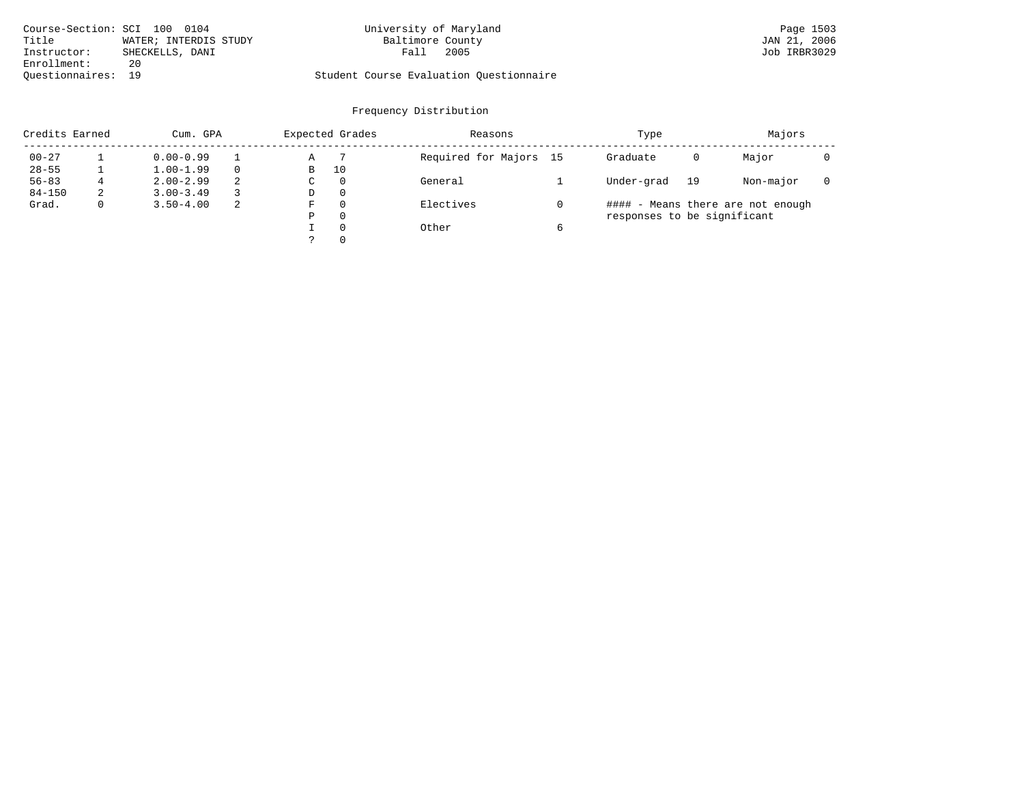|             | Course-Section: SCI 100 0104 | University of Maryland                  | Page 1503    |
|-------------|------------------------------|-----------------------------------------|--------------|
| Title       | WATER; INTERDIS STUDY        | Baltimore County                        | JAN 21, 2006 |
| Instructor: | SHECKELLS, DANI              | 2005<br>Fall                            | Job IRBR3029 |
| Enrollment: | 20                           |                                         |              |
|             | Ouestionnaires: 19           | Student Course Evaluation Questionnaire |              |

| Credits Earned |   | Cum. GPA      |   |             | Expected Grades | Reasons                |   | Type                        |    | Majors                            |  |
|----------------|---|---------------|---|-------------|-----------------|------------------------|---|-----------------------------|----|-----------------------------------|--|
| $00 - 27$      |   | $0.00 - 0.99$ |   | Α           |                 | Required for Majors 15 |   | Graduate                    | 0  | Major                             |  |
| $28 - 55$      |   | $1.00 - 1.99$ |   | B           | 10              |                        |   |                             |    |                                   |  |
| $56 - 83$      | 4 | $2.00 - 2.99$ | 2 | $\sim$<br>◡ | 0               | General                |   | Under-grad                  | 19 | Non-major                         |  |
| $84 - 150$     | 2 | $3.00 - 3.49$ |   | D           | 0               |                        |   |                             |    |                                   |  |
| Grad.          | 0 | $3.50 - 4.00$ | 2 | F           | 0               | Electives              |   |                             |    | #### - Means there are not enough |  |
|                |   |               |   | Ρ           | 0               |                        |   | responses to be significant |    |                                   |  |
|                |   |               |   |             | $\Omega$        | Other                  | 6 |                             |    |                                   |  |
|                |   |               |   | っ           | 0               |                        |   |                             |    |                                   |  |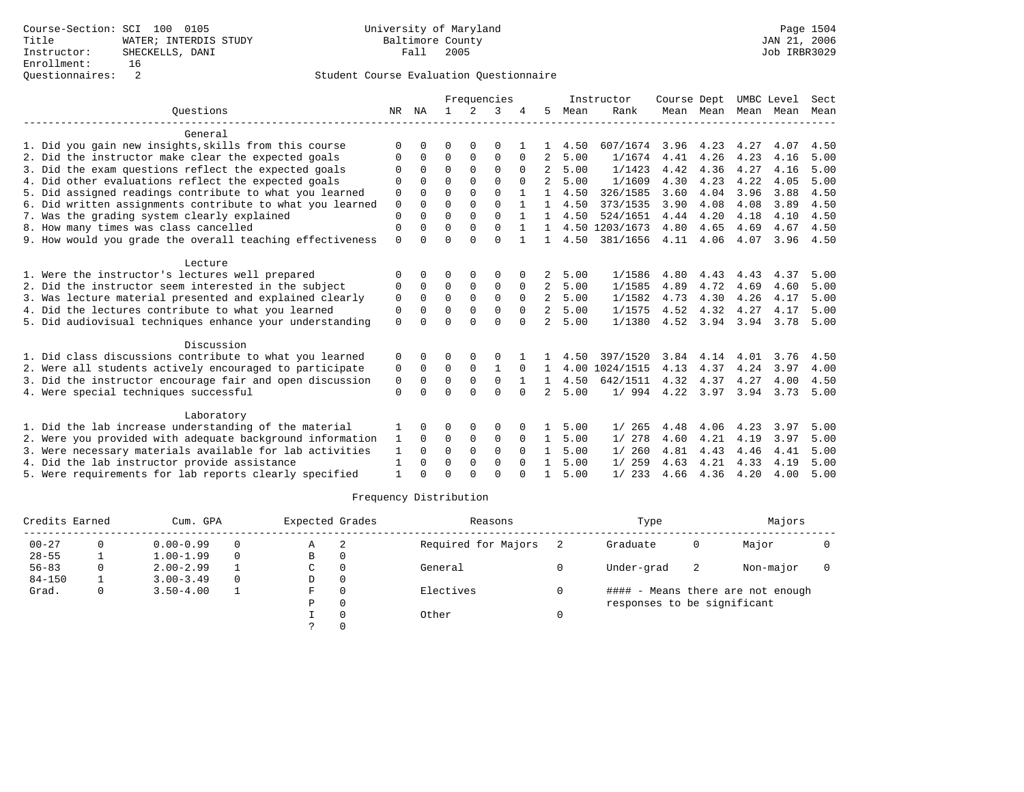|                                                           |             |          |          |          | Frequencies  |          |                |      | Instructor     | Course Dept |           | UMBC Level |      | Sect |
|-----------------------------------------------------------|-------------|----------|----------|----------|--------------|----------|----------------|------|----------------|-------------|-----------|------------|------|------|
| Ouestions                                                 | NR.         | ΝA       |          | 2        | 3            |          | 5              | Mean | Rank           |             | Mean Mean | Mean       | Mean | Mean |
| General                                                   |             |          |          |          |              |          |                |      |                |             |           |            |      |      |
| 1. Did you gain new insights, skills from this course     | ∩           |          | O        | 0        | 0            |          |                | 4.50 | 607/1674       | 3.96        | 4.23      | 4.27       | 4.07 | 4.50 |
| 2. Did the instructor make clear the expected goals       | O           | $\Omega$ | $\Omega$ | $\Omega$ | $\Omega$     | $\Omega$ | 2              | 5.00 | 1/1674         | 4.41        | 4.26      | 4.23       | 4.16 | 5.00 |
| 3. Did the exam questions reflect the expected goals      |             | $\Omega$ | $\Omega$ | $\Omega$ | $\Omega$     |          |                | 5.00 | 1/1423         | 4.42        | 4.36      | 4.27       | 4.16 | 5.00 |
| 4. Did other evaluations reflect the expected goals       | $\Omega$    |          | $\Omega$ | $\Omega$ | $\cap$       |          | $\mathcal{L}$  | 5.00 | 1/1609         | 4.30        | 4.23      | 4.22       | 4.05 | 5.00 |
| 5. Did assigned readings contribute to what you learned   | 0           | $\Omega$ | $\Omega$ | $\Omega$ | $\Omega$     |          |                | 4.50 | 326/1585       | 3.60        | 4.04      | 3.96       | 3.88 | 4.50 |
| 6. Did written assignments contribute to what you learned | $\mathbf 0$ | $\cap$   | $\Omega$ | $\Omega$ | $\Omega$     |          |                | 4.50 | 373/1535       | 3.90        | 4.08      | 4.08       | 3.89 | 4.50 |
| 7. Was the grading system clearly explained               | $\Omega$    |          | $\Omega$ | $\Omega$ | $\Omega$     |          |                | 4.50 | 524/1651       | 4.44        | 4.20      | 4.18       | 4.10 | 4.50 |
| 8. How many times was class cancelled                     | 0           | $\Omega$ | $\Omega$ | $\Omega$ | $\Omega$     |          | $\mathbf{1}$   |      | 4.50 1203/1673 | 4.80        | 4.65      | 4.69       | 4.67 | 4.50 |
| 9. How would you grade the overall teaching effectiveness | $\Omega$    |          | $\Omega$ | $\Omega$ | $\Omega$     |          |                | 4.50 | 381/1656       | 4.11        | 4.06      | 4.07       | 3.96 | 4.50 |
| Lecture                                                   |             |          |          |          |              |          |                |      |                |             |           |            |      |      |
| 1. Were the instructor's lectures well prepared           | $\Omega$    |          | $\Omega$ |          | $\Omega$     |          | 2              | 5.00 | 1/1586         | 4.80        | 4.43      | 4.43       | 4.37 | 5.00 |
| 2. Did the instructor seem interested in the subject      | 0           | $\Omega$ | $\Omega$ | 0        | 0            | $\Omega$ | 2              | 5.00 | 1/1585         | 4.89        | 4.72      | 4.69       | 4.60 | 5.00 |
| 3. Was lecture material presented and explained clearly   | $\Omega$    | $\Omega$ | $\Omega$ | $\Omega$ | $\Omega$     | $\Omega$ | $\overline{2}$ | 5.00 | 1/1582         | 4.73        | 4.30      | 4.26       | 4.17 | 5.00 |
| 4. Did the lectures contribute to what you learned        | $\Omega$    |          | $\Omega$ | $\Omega$ | $\Omega$     | $\Omega$ | 2              | 5.00 | 1/1575         | 4.52        | 4.32      | 4.27       | 4.17 | 5.00 |
| 5. Did audiovisual techniques enhance your understanding  | $\Omega$    |          | $\cap$   | $\cap$   | $\cap$       |          | $2^{1}$        | 5.00 | 1/1380         | 4.52        | 3.94      | 3.94       | 3.78 | 5.00 |
| Discussion                                                |             |          |          |          |              |          |                |      |                |             |           |            |      |      |
| 1. Did class discussions contribute to what you learned   | 0           |          |          |          |              |          |                | 4.50 | 397/1520       | 3.84        | 4.14      | 4.01       | 3.76 | 4.50 |
| 2. Were all students actively encouraged to participate   | 0           | $\Omega$ | $\Omega$ | $\Omega$ | $\mathbf{1}$ | $\Omega$ | 1.             |      | 4.00 1024/1515 | 4.13        | 4.37      | 4.24       | 3.97 | 4.00 |
| 3. Did the instructor encourage fair and open discussion  | 0           | $\Omega$ | $\Omega$ | 0        | $\Omega$     |          |                | 4.50 | 642/1511       | 4.32        | 4.37      | 4.27       | 4.00 | 4.50 |
| 4. Were special techniques successful                     | $\Omega$    | $\cap$   | $\Omega$ | $\cap$   | $\cap$       | $\cap$   | 2              | 5.00 | 1/994          |             | 4.22 3.97 | 3.94       | 3.73 | 5.00 |
| Laboratory                                                |             |          |          |          |              |          |                |      |                |             |           |            |      |      |
| 1. Did the lab increase understanding of the material     |             | $\Omega$ | $\Omega$ | $\Omega$ | $\Omega$     |          |                | 5.00 | 1/265          | 4.48        | 4.06      | 4.23       | 3.97 | 5.00 |
| 2. Were you provided with adequate background information | 1           | $\Omega$ | 0        | 0        | 0            | 0        | $\mathbf{1}$   | 5.00 | 1/278          | 4.60        | 4.21      | 4.19       | 3.97 | 5.00 |
| 3. Were necessary materials available for lab activities  |             |          | $\Omega$ | $\Omega$ | $\Omega$     | $\Omega$ | 1.             | 5.00 | 1/260          | 4.81        | 4.43      | 4.46       | 4.41 | 5.00 |
| 4. Did the lab instructor provide assistance              | 1           | $\Omega$ | $\Omega$ | $\Omega$ | 0            | $\Omega$ |                | 5.00 | 259<br>1/      | 4.63        | 4.21      | 4.33       | 4.19 | 5.00 |
| 5. Were requirements for lab reports clearly specified    |             |          | $\cap$   |          | $\cap$       |          |                | 5.00 | 1/233          | 4.66        | 4.36      | 4.20       | 4.00 | 5.00 |

| Credits Earned | Cum. GPA      |          | Expected Grades |   | Reasons             | Type                        |    | Majors                            |  |
|----------------|---------------|----------|-----------------|---|---------------------|-----------------------------|----|-----------------------------------|--|
| $00 - 27$      | $0.00 - 0.99$ | 0        | A               | 2 | Required for Majors | Graduate                    | 0  | Major                             |  |
| $28 - 55$      | $1.00 - 1.99$ | 0        | В               |   |                     |                             |    |                                   |  |
| $56 - 83$      | $2.00 - 2.99$ |          | C               |   | General             | Under-grad                  | -2 | Non-major                         |  |
| $84 - 150$     | $3.00 - 3.49$ | $\Omega$ | D               |   |                     |                             |    |                                   |  |
| Grad.          | $3.50 - 4.00$ |          | F               |   | Electives           |                             |    | #### - Means there are not enough |  |
|                |               |          | Ρ               | 0 |                     | responses to be significant |    |                                   |  |
|                |               |          |                 |   | Other               |                             |    |                                   |  |
|                |               |          |                 |   |                     |                             |    |                                   |  |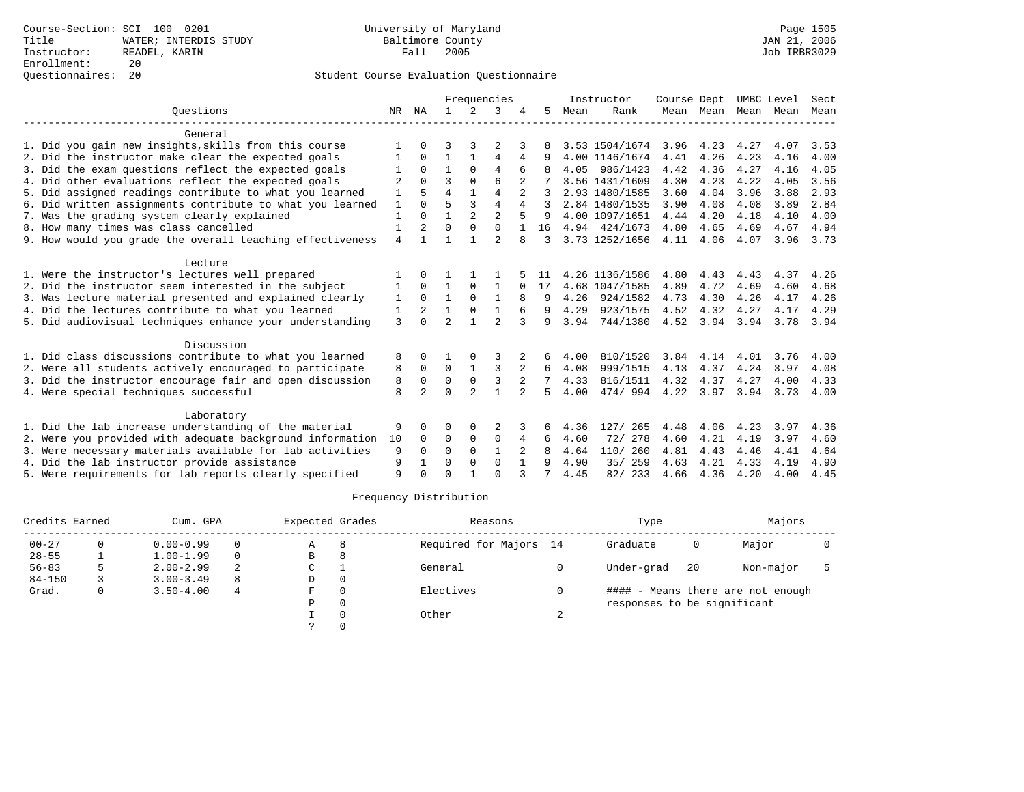|                                                           |                |                | Frequencies    |                |                |                | Instructor | Course Dept |                | UMBC Level |           | Sect |      |      |
|-----------------------------------------------------------|----------------|----------------|----------------|----------------|----------------|----------------|------------|-------------|----------------|------------|-----------|------|------|------|
| Ouestions                                                 | NR.            | ΝA             | $\mathbf{1}$   | $\mathcal{L}$  | 3              |                | 5.         | Mean        | Rank           |            | Mean Mean | Mean | Mean | Mean |
| General                                                   |                |                |                |                |                |                |            |             |                |            |           |      |      |      |
| 1. Did you gain new insights, skills from this course     |                |                | 3              |                |                |                |            |             | 3.53 1504/1674 | 3.96       | 4.23      | 4.27 | 4.07 | 3.53 |
| 2. Did the instructor make clear the expected goals       | 1              | $\Omega$       | $\mathbf{1}$   | $\mathbf{1}$   | 4              | 4              |            |             | 4.00 1146/1674 | 4.41       | 4.26      | 4.23 | 4.16 | 4.00 |
| 3. Did the exam questions reflect the expected goals      |                | $\Omega$       | $\mathbf{1}$   | $\Omega$       | 4              | 6              |            | 4.05        | 986/1423       | 4.42       | 4.36      | 4.27 | 4.16 | 4.05 |
| 4. Did other evaluations reflect the expected goals       | $\overline{2}$ | $\Omega$       | ζ              | $\Omega$       | $\epsilon$     |                |            |             | 3.56 1431/1609 | 4.30       | 4.23      | 4.22 | 4.05 | 3.56 |
| 5. Did assigned readings contribute to what you learned   | 1              |                | $\overline{4}$ | $\mathbf{1}$   | $\overline{4}$ | $\mathfrak{D}$ |            |             | 2.93 1480/1585 | 3.60       | 4.04      | 3.96 | 3.88 | 2.93 |
| 6. Did written assignments contribute to what you learned | $\mathbf{1}$   | $\cap$         | 5              | 3              | 4              | 4              | 3          |             | 2.84 1480/1535 | 3.90       | 4.08      | 4.08 | 3.89 | 2.84 |
| 7. Was the grading system clearly explained               | $\mathbf{1}$   | $\Omega$       | $\mathbf{1}$   | $\mathfrak{D}$ | $\overline{a}$ |                | q          |             | 4.00 1097/1651 | 4.44       | 4.20      | 4.18 | 4.10 | 4.00 |
| 8. How many times was class cancelled                     | 1              | 2              | $\Omega$       | $\Omega$       | $\Omega$       | $\mathbf{1}$   | 16         |             | 4.94 424/1673  | 4.80       | 4.65      | 4.69 | 4.67 | 4.94 |
| 9. How would you grade the overall teaching effectiveness | 4              |                |                |                | $\mathfrak{D}$ | 8              | ζ          |             | 3.73 1252/1656 | 4.11       | 4.06      | 4.07 | 3.96 | 3.73 |
| Lecture                                                   |                |                |                |                |                |                |            |             |                |            |           |      |      |      |
| 1. Were the instructor's lectures well prepared           |                | $\cap$         |                |                |                |                | 11         |             | 4.26 1136/1586 | 4.80       | 4.43      | 4.43 | 4.37 | 4.26 |
| 2. Did the instructor seem interested in the subject      | 1              | $\Omega$       | $\mathbf{1}$   | $\mathbf 0$    | 1              | $\Omega$       | 17         |             | 4.68 1047/1585 | 4.89       | 4.72      | 4.69 | 4.60 | 4.68 |
| 3. Was lecture material presented and explained clearly   | 1              | $\Omega$       | $\mathbf{1}$   | $\Omega$       | $\mathbf{1}$   | 8              | 9          | 4.26        | 924/1582       | 4.73       | 4.30      | 4.26 | 4.17 | 4.26 |
| 4. Did the lectures contribute to what you learned        | 1              |                | $\mathbf{1}$   | 0              | 1              | 6              | 9          | 4.29        | 923/1575       | 4.52       | 4.32      | 4.27 | 4.17 | 4.29 |
| 5. Did audiovisual techniques enhance your understanding  | 3              | $\cap$         | $\mathfrak{D}$ | 1              | $\mathfrak{D}$ | 3              | 9          | 3.94        | 744/1380       | 4.52       | 3.94      | 3.94 | 3.78 | 3.94 |
| Discussion                                                |                |                |                |                |                |                |            |             |                |            |           |      |      |      |
| 1. Did class discussions contribute to what you learned   | 8              | 0              |                |                |                |                | 6          | 4.00        | 810/1520       | 3.84       | 4.14      | 4.01 | 3.76 | 4.00 |
| 2. Were all students actively encouraged to participate   | 8              | $\Omega$       | $\Omega$       | $\mathbf{1}$   | 3              | $\overline{a}$ | 6          | 4.08        | 999/1515       | 4.13       | 4.37      | 4.24 | 3.97 | 4.08 |
| 3. Did the instructor encourage fair and open discussion  | 8              | $\Omega$       | $\mathbf 0$    | $\mathbf 0$    | 3              |                |            | 4.33        | 816/1511       | 4.32       | 4.37      | 4.27 | 4.00 | 4.33 |
| 4. Were special techniques successful                     | 8              | $\overline{a}$ | $\Omega$       | $\mathfrak{D}$ | $\mathbf{1}$   | $\mathfrak{D}$ | 5          | 4.00        | 474/994        | 4.22       | 3.97      | 3.94 | 3.73 | 4.00 |
| Laboratory                                                |                |                |                |                |                |                |            |             |                |            |           |      |      |      |
| 1. Did the lab increase understanding of the material     | 9              | O              | O              | 0              | 2              |                | 6          | 4.36        | 265<br>127/    | 4.48       | 4.06      | 4.23 | 3.97 | 4.36 |
| 2. Were you provided with adequate background information | 10             | $\Omega$       | $\Omega$       | $\mathbf 0$    | 0              | 4              | 6          | 4.60        | 72/ 278        | 4.60       | 4.21      | 4.19 | 3.97 | 4.60 |
| 3. Were necessary materials available for lab activities  | 9              | $\Omega$       | $\Omega$       | $\Omega$       | $\mathbf{1}$   |                |            | 4.64        | 110/ 260       | 4.81       | 4.43      | 4.46 | 4.41 | 4.64 |
| 4. Did the lab instructor provide assistance              | 9              | $\mathbf{1}$   | $\Omega$       | $\Omega$       | $\Omega$       | $\mathbf{1}$   | 9          | 4.90        | 35/ 259        | 4.63       | 4.21      | 4.33 | 4.19 | 4.90 |
| 5. Were requirements for lab reports clearly specified    | 9              | U              | $\Omega$       |                | $\Omega$       |                |            | 4.45        | 82/ 233        | 4.66       | 4.36      | 4.20 | 4.00 | 4.45 |

| Credits Earned |   | Cum. GPA      |   | Expected Grades |          | Reasons                |    | Type                        |    | Majors                            |  |
|----------------|---|---------------|---|-----------------|----------|------------------------|----|-----------------------------|----|-----------------------------------|--|
| $00 - 27$      |   | $0.00 - 0.99$ |   | Α               | 8        | Required for Majors 14 |    | Graduate                    | 0  | Major                             |  |
| $28 - 55$      |   | $1.00 - 1.99$ | 0 | B               | 8        |                        |    |                             |    |                                   |  |
| $56 - 83$      |   | $2.00 - 2.99$ | 2 | C               |          | General                |    | Under-grad                  | 20 | Non-major                         |  |
| $84 - 150$     |   | $3.00 - 3.49$ | 8 | D               | $\Omega$ |                        |    |                             |    |                                   |  |
| Grad.          | 0 | $3.50 - 4.00$ | 4 | F.              | $\Omega$ | Electives              |    |                             |    | #### - Means there are not enough |  |
|                |   |               |   | P               | $\Omega$ |                        |    | responses to be significant |    |                                   |  |
|                |   |               |   |                 |          | Other                  | z. |                             |    |                                   |  |
|                |   |               |   |                 |          |                        |    |                             |    |                                   |  |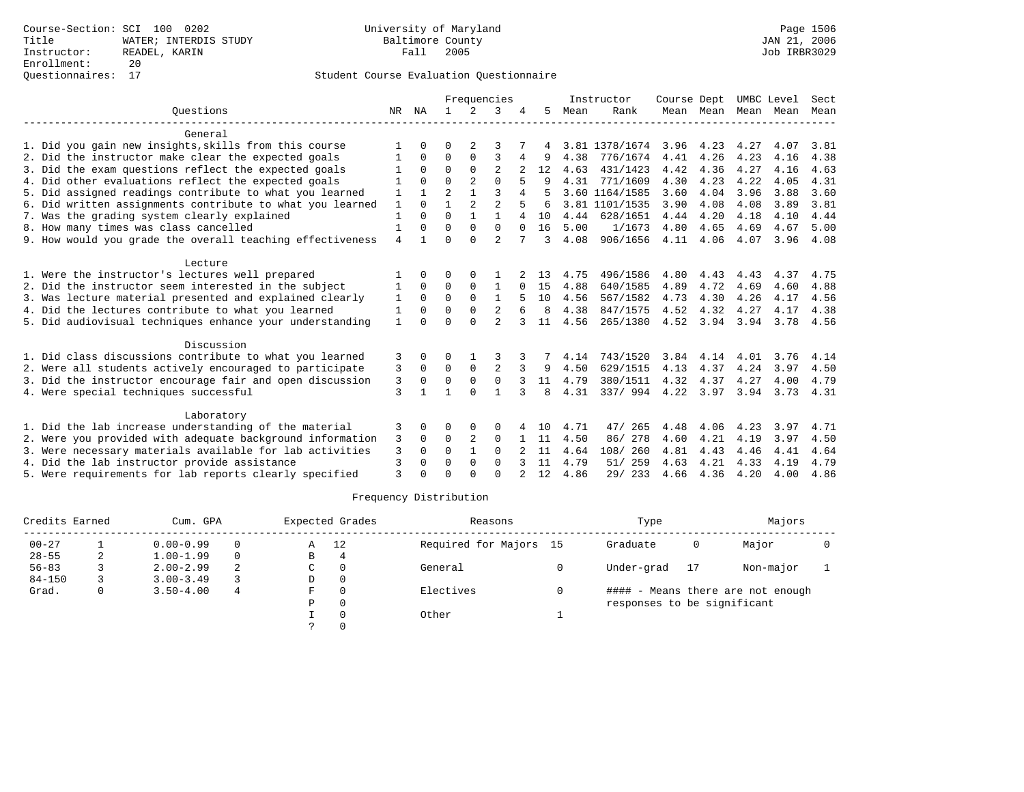|                                                           |                | Frequencies |                |                |                | Instructor | Course Dept |      | UMBC Level     |      | Sect      |      |      |      |
|-----------------------------------------------------------|----------------|-------------|----------------|----------------|----------------|------------|-------------|------|----------------|------|-----------|------|------|------|
| Ouestions                                                 | NR             | ΝA          | $\mathbf{1}$   | $\mathcal{L}$  | 3              |            | 5.          | Mean | Rank           |      | Mean Mean | Mean | Mean | Mean |
| General                                                   |                |             |                |                |                |            |             |      |                |      |           |      |      |      |
| 1. Did you gain new insights, skills from this course     |                | 0           | O              | 2              | 3              |            |             |      | 3.81 1378/1674 | 3.96 | 4.23      | 4.27 | 4.07 | 3.81 |
| 2. Did the instructor make clear the expected goals       |                | 0           | $\Omega$       | $\Omega$       | 3              |            |             | 4.38 | 776/1674       | 4.41 | 4.26      | 4.23 | 4.16 | 4.38 |
| 3. Did the exam questions reflect the expected goals      |                | $\Omega$    | $\Omega$       | $\Omega$       | $\overline{2}$ |            | 12          | 4.63 | 431/1423       | 4.42 | 4.36      | 4.27 | 4.16 | 4.63 |
| 4. Did other evaluations reflect the expected goals       |                | 0           | $\Omega$       | $\overline{a}$ | $\Omega$       |            |             | 4.31 | 771/1609       | 4.30 | 4.23      | 4.22 | 4.05 | 4.31 |
| 5. Did assigned readings contribute to what you learned   | 1              |             | $\overline{a}$ | 1              | 3              |            |             |      | 3.60 1164/1585 | 3.60 | 4.04      | 3.96 | 3.88 | 3.60 |
| 6. Did written assignments contribute to what you learned | 1              | $\Omega$    | 1              | $\overline{a}$ | $\overline{a}$ |            | 6           |      | 3.81 1101/1535 | 3.90 | 4.08      | 4.08 | 3.89 | 3.81 |
| 7. Was the grading system clearly explained               | $\mathbf{1}$   | $\Omega$    | $\Omega$       | 1              | 1              | 4          | 10          | 4.44 | 628/1651       | 4.44 | 4.20      | 4.18 | 4.10 | 4.44 |
| 8. How many times was class cancelled                     | $\mathbf{1}$   | 0           | $\Omega$       | $\Omega$       | $\Omega$       | $\Omega$   | 16          | 5.00 | 1/1673         | 4.80 | 4.65      | 4.69 | 4.67 | 5.00 |
| 9. How would you grade the overall teaching effectiveness | $\overline{4}$ |             | $\Omega$       | $\Omega$       | $\overline{2}$ |            | 3           | 4.08 | 906/1656       | 4.11 | 4.06      | 4.07 | 3.96 | 4.08 |
| Lecture                                                   |                |             |                |                |                |            |             |      |                |      |           |      |      |      |
| 1. Were the instructor's lectures well prepared           |                | 0           | O              | $\Omega$       |                |            | 13          | 4.75 | 496/1586       | 4.80 | 4.43      | 4.43 | 4.37 | 4.75 |
| 2. Did the instructor seem interested in the subject      | 1              | 0           | $\Omega$       | $\Omega$       | 1              |            | 15          | 4.88 | 640/1585       | 4.89 | 4.72      | 4.69 | 4.60 | 4.88 |
| 3. Was lecture material presented and explained clearly   | 1              | $\Omega$    | $\Omega$       | $\Omega$       | $\mathbf{1}$   |            | 10          | 4.56 | 567/1582       | 4.73 | 4.30      | 4.26 | 4.17 | 4.56 |
| 4. Did the lectures contribute to what you learned        | 1              | O           | $\Omega$       | $\Omega$       | 2              |            | 8           | 4.38 | 847/1575       | 4.52 | 4.32      | 4.27 | 4.17 | 4.38 |
| 5. Did audiovisual techniques enhance your understanding  | 1              |             | $\Omega$       | $\cap$         | $\mathfrak{D}$ |            | 11          | 4.56 | 265/1380       | 4.52 | 3.94      | 3.94 | 3.78 | 4.56 |
| Discussion                                                |                |             |                |                |                |            |             |      |                |      |           |      |      |      |
| 1. Did class discussions contribute to what you learned   | 3              | 0           | 0              |                |                |            |             | 4.14 | 743/1520       | 3.84 | 4.14      | 4.01 | 3.76 | 4.14 |
| 2. Were all students actively encouraged to participate   | 3              | $\Omega$    | $\Omega$       | $\Omega$       | $\overline{a}$ |            | 9           | 4.50 | 629/1515       | 4.13 | 4.37      | 4.24 | 3.97 | 4.50 |
| 3. Did the instructor encourage fair and open discussion  | 3              | $\Omega$    | 0              | $\mathbf 0$    | $\mathbf 0$    |            | 11          | 4.79 | 380/1511       | 4.32 | 4.37      | 4.27 | 4.00 | 4.79 |
| 4. Were special techniques successful                     | 3              |             | 1              | $\Omega$       | $\mathbf{1}$   | 3          | 8           | 4.31 | 337/ 994       | 4.22 | 3.97      | 3.94 | 3.73 | 4.31 |
| Laboratory                                                |                |             |                |                |                |            |             |      |                |      |           |      |      |      |
| 1. Did the lab increase understanding of the material     | 3              | 0           | O              | 0              | $\Omega$       |            | 10          | 4.71 | 47/<br>265     | 4.48 | 4.06      | 4.23 | 3.97 | 4.71 |
| 2. Were you provided with adequate background information | 3              | $\Omega$    | 0              | 2              | $\Omega$       |            | 11          | 4.50 | 86/278         | 4.60 | 4.21      | 4.19 | 3.97 | 4.50 |
| 3. Were necessary materials available for lab activities  | 3              | 0           | $\Omega$       |                | $\Omega$       |            | 11          | 4.64 | 108/ 260       | 4.81 | 4.43      | 4.46 | 4.41 | 4.64 |
| 4. Did the lab instructor provide assistance              | 3              | 0           | $\Omega$       | 0              | $\Omega$       |            | 11          | 4.79 | 259<br>51/     | 4.63 | 4.21      | 4.33 | 4.19 | 4.79 |
| 5. Were requirements for lab reports clearly specified    | $\mathbf{3}$   |             | $\cap$         |                | $\cap$         |            | 12          | 4.86 | 29/ 233        | 4.66 | 4.36      | 4.20 | 4.00 | 4.86 |

| Credits Earned |   | Cum. GPA      |          |    | Expected Grades | Reasons                | Type                        |    | Majors                            |  |
|----------------|---|---------------|----------|----|-----------------|------------------------|-----------------------------|----|-----------------------------------|--|
| $00 - 27$      |   | $0.00 - 0.99$ | $\Omega$ | Α  | 12              | Required for Majors 15 | Graduate                    | 0  | Major                             |  |
| $28 - 55$      | 2 | $1.00 - 1.99$ | $\Omega$ | B  | 4               |                        |                             |    |                                   |  |
| $56 - 83$      |   | $2.00 - 2.99$ |          | C  |                 | General                | Under-grad                  | 17 | Non-major                         |  |
| $84 - 150$     |   | $3.00 - 3.49$ |          | D  | $\Omega$        |                        |                             |    |                                   |  |
| Grad.          | 0 | $3.50 - 4.00$ | 4        | F. |                 | Electives              |                             |    | #### - Means there are not enough |  |
|                |   |               |          | P  | $\Omega$        |                        | responses to be significant |    |                                   |  |
|                |   |               |          |    | Other           |                        |                             |    |                                   |  |
|                |   |               |          |    |                 |                        |                             |    |                                   |  |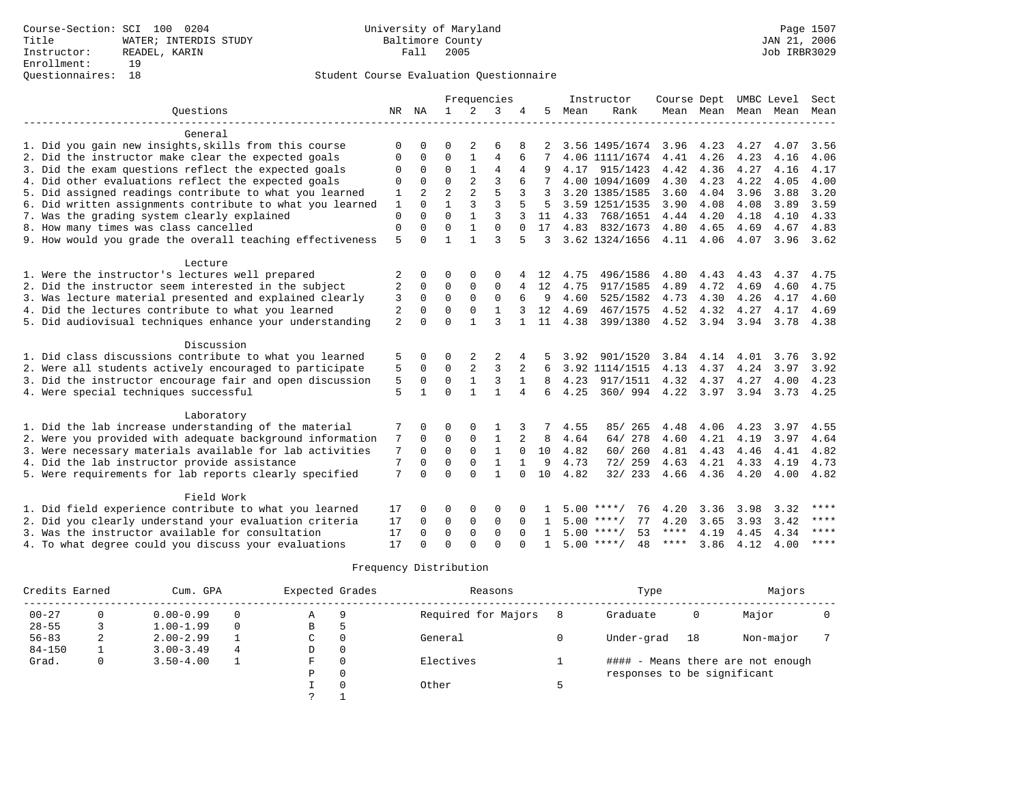|                                                           |             |                |                      |                      | Frequencies                  |          |               |      | Instructor         | Course Dept UMBC Level |                |      |                          | Sect        |
|-----------------------------------------------------------|-------------|----------------|----------------------|----------------------|------------------------------|----------|---------------|------|--------------------|------------------------|----------------|------|--------------------------|-------------|
| Ouestions                                                 |             | NR NA          | $\mathbf{1}$         | 2                    | 3                            | 4        | 5             | Mean | Rank               |                        |                |      | Mean Mean Mean Mean Mean |             |
|                                                           |             |                |                      |                      |                              |          |               |      |                    |                        |                |      |                          |             |
| General                                                   |             |                |                      |                      |                              |          |               |      |                    |                        |                |      |                          |             |
| 1. Did you gain new insights, skills from this course     |             |                |                      |                      |                              |          |               |      | 3.56 1495/1674     | 3.96                   | 4.23           | 4.27 | 4.07                     | 3.56        |
| 2. Did the instructor make clear the expected goals       | $\Omega$    | $\Omega$       | $\Omega$             |                      | 4                            | 6        |               |      | 4.06 1111/1674     | 4.41                   | 4.26           | 4.23 | 4.16                     | 4.06        |
| 3. Did the exam questions reflect the expected goals      | $\Omega$    | $\Omega$       | $\Omega$             | $\mathbf{1}$         | 4                            | 4        |               |      | 4.17 915/1423      | 4.42                   | 4.36           | 4.27 | 4.16                     | 4.17        |
| 4. Did other evaluations reflect the expected goals       | $\Omega$    | $\Omega$       | $\Omega$             | 2                    | 3                            | 6        |               |      | 4.00 1094/1609     | 4.30                   | 4.23           | 4.22 | 4.05                     | 4.00        |
| 5. Did assigned readings contribute to what you learned   | 1           | $\overline{a}$ | $\overline{a}$       | $\overline{a}$       | 5                            | 3        | 3             |      | 3.20 1385/1585     | 3.60                   | 4.04           | 3.96 | 3.88                     | 3.20        |
| 6. Did written assignments contribute to what you learned | 1           | $\Omega$       |                      | 3                    | 3                            |          | 5             |      | 3.59 1251/1535     | 3.90                   | 4.08           | 4.08 | 3.89                     | 3.59        |
| 7. Was the grading system clearly explained               | $\mathbf 0$ | $\Omega$       | $\mathbf 0$          |                      | 3                            |          | 11            |      | 4.33 768/1651      | 4.44                   | 4.20           | 4.18 | 4.10                     | 4.33        |
| 8. How many times was class cancelled                     | $\mathbf 0$ | $\Omega$       | $\mathbf 0$          | $\mathbf{1}$         | $\Omega$                     |          | 17            |      | 4.83 832/1673      | 4.80                   | 4.65           | 4.69 | 4.67                     | 4.83        |
| 9. How would you grade the overall teaching effectiveness | 5           | $\cap$         | $\mathbf{1}$         | $\mathbf{1}$         | ζ                            |          | $\mathcal{L}$ |      | 3.62 1324/1656     | 4.11 4.06              |                | 4.07 | 3.96                     | 3.62        |
| Lecture                                                   |             |                |                      |                      |                              |          |               |      |                    |                        |                |      |                          |             |
| 1. Were the instructor's lectures well prepared           | 2           | $\Omega$       | $\Omega$             | $\Omega$             | $\Omega$                     |          | 12            | 4.75 | 496/1586           | 4.80                   | 4.43           | 4.43 | 4.37                     | 4.75        |
| 2. Did the instructor seem interested in the subject      | 2           | $\Omega$       | $\Omega$             | $\Omega$             | $\Omega$                     | 4        | 12            | 4.75 | 917/1585           | 4.89                   | 4.72           | 4.69 | 4.60                     | 4.75        |
| 3. Was lecture material presented and explained clearly   | 3           | $\mathbf 0$    | $\mathbf 0$          | $\Omega$             | 0                            | 6        | 9             | 4.60 | 525/1582           | 4.73                   | 4.30           | 4.26 | 4.17                     | 4.60        |
| 4. Did the lectures contribute to what you learned        | 2           | $\mathbf 0$    | $\Omega$             | $\Omega$             | $\mathbf{1}$                 |          | 12            | 4.69 | 467/1575           | 4.52                   | 4.32           | 4.27 | 4.17                     | 4.69        |
| 5. Did audiovisual techniques enhance your understanding  | 2           | $\Omega$       | $\Omega$             |                      | ς                            |          | 11            | 4.38 | 399/1380           |                        | 4.52 3.94 3.94 |      | 3.78                     | 4.38        |
|                                                           |             |                |                      |                      |                              |          |               |      |                    |                        |                |      |                          |             |
| Discussion                                                |             |                |                      |                      |                              |          |               |      |                    |                        |                |      |                          |             |
| 1. Did class discussions contribute to what you learned   | 5           | $\Omega$       | $\Omega$             | 2                    | 2                            |          |               | 3.92 | 901/1520           | 3.84                   | 4.14           | 4.01 | 3.76                     | 3.92        |
| 2. Were all students actively encouraged to participate   | 5           | $\Omega$       | $\mathbf 0$          | 2                    | 3                            | 2        |               |      | 3.92 1114/1515     | 4.13                   | 4.37           | 4.24 | 3.97                     | 3.92        |
| 3. Did the instructor encourage fair and open discussion  | 5           | $\mathbf 0$    | $\mathbf 0$          |                      | 3                            |          | 8             | 4.23 | 917/1511           | 4.32                   | 4.37           | 4.27 | 4.00                     | 4.23        |
| 4. Were special techniques successful                     | 5           |                | $\Omega$             |                      | 1                            | 4        | 6             | 4.25 | 360/994            | 4.22 3.97              |                | 3.94 | 3.73                     | 4.25        |
|                                                           |             |                |                      |                      |                              |          |               |      |                    |                        |                |      |                          |             |
| Laboratory                                                |             |                |                      |                      |                              |          |               |      |                    |                        |                |      |                          |             |
| 1. Did the lab increase understanding of the material     | 7           | $\Omega$       | $\Omega$             | $\Omega$             |                              | 3        | 7             | 4.55 | 85/ 265            | 4.48                   | 4.06           | 4.23 | 3.97                     | 4.55        |
| 2. Were you provided with adequate background information | 7           | $\Omega$       | $\Omega$<br>$\Omega$ | $\Omega$<br>$\Omega$ | $\mathbf{1}$<br>$\mathbf{1}$ | 2        | 8<br>10       | 4.64 | 64/ 278            | 4.60                   | 4.21           | 4.19 | 3.97                     | 4.64        |
| 3. Were necessary materials available for lab activities  | 7           | $\Omega$       |                      |                      |                              | $\Omega$ |               | 4.82 | 60/ 260            | 4.81                   | 4.43           | 4.46 | 4.41                     | 4.82        |
| 4. Did the lab instructor provide assistance              | 7           | $\Omega$       | $\Omega$             | $\Omega$             | $\mathbf{1}$                 |          | 9             | 4.73 | 72/ 259            | 4.63                   | 4.21           | 4.33 | 4.19                     | 4.73        |
| 5. Were requirements for lab reports clearly specified    | 7           | $\Omega$       | $\Omega$             | $\Omega$             | 1                            | $\Omega$ | 10            | 4.82 | 32/233             | 4.66                   | 4.36           | 4.20 | 4.00                     | 4.82        |
| Field Work                                                |             |                |                      |                      |                              |          |               |      |                    |                        |                |      |                          |             |
| 1. Did field experience contribute to what you learned    | 17          |                | $\Omega$             | $\Omega$             | $\Omega$                     |          |               |      | $5.00$ ****/<br>76 | 4.20                   | 3.36           | 3.98 | 3.32                     | ****        |
| 2. Did you clearly understand your evaluation criteria    | 17          | $\Omega$       | $\Omega$             | 0                    | 0                            | $\Omega$ |               |      | 77<br>$5.00$ ****/ | 4.20                   | 3.65           | 3.93 | 3.42                     | $***$ * * * |
| 3. Was the instructor available for consultation          | 17          | $\Omega$       | $\Omega$             | $\Omega$             | $\Omega$                     | $\Omega$ |               |      | $5.00$ ****/<br>53 | ****                   | 4.19           | 4.45 | 4.34                     | $***$       |
| 4. To what degree could you discuss your evaluations      | 17          | $\cap$         | $\Omega$             | $\cap$               | $\cap$                       |          |               |      | $5.00$ ****/<br>48 | ****                   | 3.86           | 4.12 | 4.00                     | $* * * * *$ |

| Credits Earned |   | Cum. GPA      |          | Expected Grades |          | Reasons             |   | Type                        |    | Majors                            |  |
|----------------|---|---------------|----------|-----------------|----------|---------------------|---|-----------------------------|----|-----------------------------------|--|
| $00 - 27$      |   | $0.00 - 0.99$ | 0        | Α               | 9        | Required for Majors | 8 | Graduate                    | 0  | Major                             |  |
| $28 - 55$      |   | $1.00 - 1.99$ | $\Omega$ | B               |          |                     |   |                             |    |                                   |  |
| $56 - 83$      |   | $2.00 - 2.99$ |          | C               |          | General             |   | Under-grad                  | 18 | Non-major                         |  |
| $84 - 150$     |   | $3.00 - 3.49$ | 4        | D               | $\Omega$ |                     |   |                             |    |                                   |  |
| Grad.          | 0 | $3.50 - 4.00$ |          | F.              |          | Electives           |   |                             |    | #### - Means there are not enough |  |
|                |   |               |          | Ρ               |          |                     |   | responses to be significant |    |                                   |  |
|                |   |               |          |                 |          | Other               |   |                             |    |                                   |  |
|                |   |               |          |                 |          |                     |   |                             |    |                                   |  |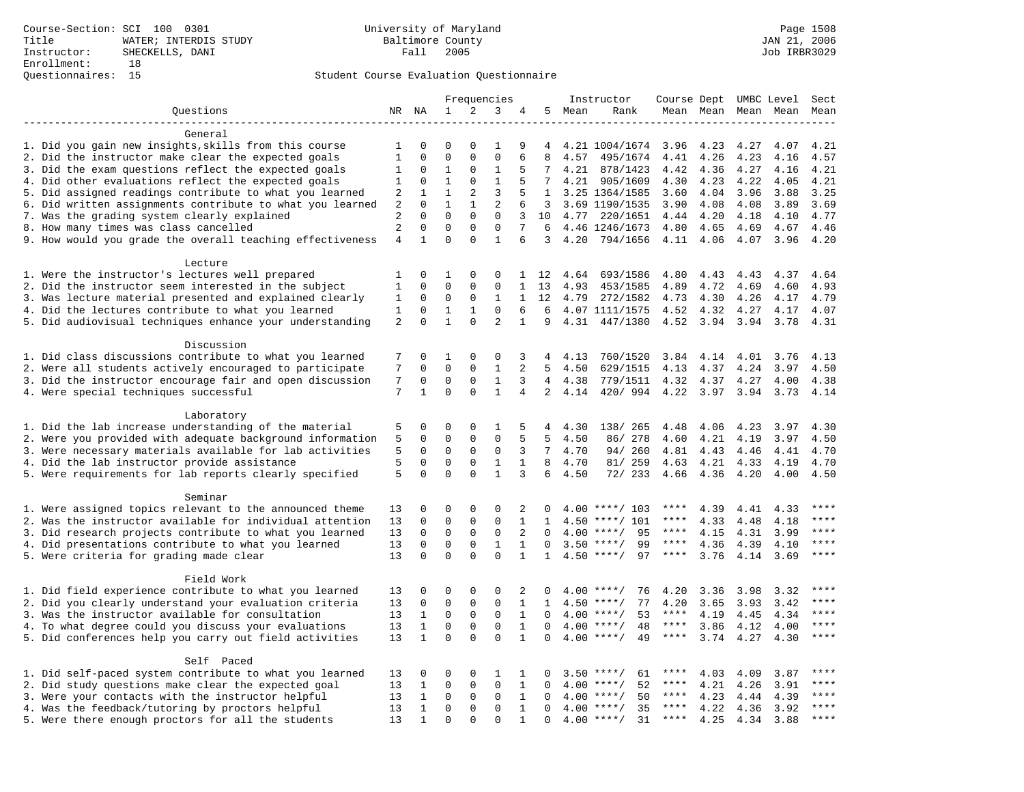|                                                                                                          | Frequencies    |                              |                            |                             |                            |                              | Instructor      | Course Dept UMBC Level |                                          |                   |              | Sect                |              |             |
|----------------------------------------------------------------------------------------------------------|----------------|------------------------------|----------------------------|-----------------------------|----------------------------|------------------------------|-----------------|------------------------|------------------------------------------|-------------------|--------------|---------------------|--------------|-------------|
| Questions                                                                                                |                | NR NA                        | $\mathbf 1$                | 2                           | 3                          | 4                            | 5               | Mean                   | Rank                                     |                   |              | Mean Mean Mean Mean |              | Mean        |
| . _ _ _ _ _ _ _ _ _ _ _ _ _ _ _                                                                          |                |                              |                            |                             |                            |                              |                 |                        |                                          |                   |              |                     |              |             |
| General                                                                                                  |                |                              |                            |                             |                            |                              |                 |                        |                                          |                   |              |                     |              |             |
| 1. Did you gain new insights, skills from this course                                                    | 1              | $\Omega$                     | $\mathbf 0$                | $\Omega$                    | $\mathbf{1}$               | 9                            | 4               |                        | 4.21 1004/1674                           | 3.96              | 4.23         | 4.27                | 4.07         | 4.21        |
| 2. Did the instructor make clear the expected goals                                                      | $\mathbf{1}$   | $\mathbf 0$                  | $\mathbf{0}$               | $\mathbf 0$                 | $\mathbf 0$                | 6                            | 8               | 4.57                   | 495/1674                                 | 4.41              | 4.26         | 4.23                | 4.16         | 4.57        |
| 3. Did the exam questions reflect the expected goals                                                     | 1              | $\mathbf 0$                  | 1                          | $\Omega$                    | 1                          | 5                            | 7               | 4.21                   | 878/1423                                 | 4.42              | 4.36         | 4.27                | 4.16         | 4.21        |
| 4. Did other evaluations reflect the expected goals                                                      | 1              | $\mathbf 0$                  | $\mathbf{1}$               | $\mathbf 0$                 | $\mathbf{1}$               | 5                            | $7^{\circ}$     |                        | 4.21 905/1609                            | 4.30              | 4.23         | 4.22                | 4.05         | 4.21        |
| 5. Did assigned readings contribute to what you learned                                                  | 2              | $\mathbf{1}$                 | $\mathbf{1}$               | 2                           | 3                          | 5                            | 1               |                        | 3.25 1364/1585                           | 3.60              | 4.04         | 3.96                | 3.88         | 3.25        |
| 6. Did written assignments contribute to what you learned                                                | 2              | $\mathbf 0$                  | $\mathbf{1}$               | $\mathbf{1}$                | 2                          | 6                            | 3               |                        | 3.69 1190/1535                           | 3.90              | 4.08         | 4.08                | 3.89         | 3.69        |
| 7. Was the grading system clearly explained                                                              | 2              | $\Omega$                     | $\Omega$                   | $\Omega$                    | $\Omega$                   | 3                            | 10              |                        | 4.77 220/1651                            | 4.44              | 4.20         | 4.18                | 4.10         | 4.77        |
| 8. How many times was class cancelled                                                                    | $\overline{a}$ | $\mathbf 0$                  | $\mathbf 0$                | $\mathbf 0$                 | $\mathbf{0}$               | 7                            | 6               |                        | 4.46 1246/1673                           | 4.80              | 4.65         | 4.69                | 4.67         | 4.46        |
| 9. How would you grade the overall teaching effectiveness                                                | $\overline{4}$ | $\mathbf{1}$                 | $\Omega$                   | $\Omega$                    | $\mathbf{1}$               | 6                            | 3               | 4.20                   | 794/1656                                 | 4.11              | 4.06         | 4.07                | 3.96         | 4.20        |
|                                                                                                          |                |                              |                            |                             |                            |                              |                 |                        |                                          |                   |              |                     |              |             |
| Lecture                                                                                                  |                | 0                            | 1                          | $\mathbf 0$                 | 0                          | $\mathbf{1}$                 |                 | 4.64                   |                                          |                   |              | 4.43                | 4.37         | 4.64        |
| 1. Were the instructor's lectures well prepared<br>2. Did the instructor seem interested in the subject  | 1<br>1         | 0                            | $\mathbf{0}$               | $\mathbf 0$                 | 0                          | $\mathbf 1$                  | 12<br>13        | 4.93                   | 693/1586<br>453/1585                     | 4.80<br>4.89      | 4.43<br>4.72 | 4.69                | 4.60         | 4.93        |
| 3. Was lecture material presented and explained clearly                                                  | 1              | 0                            | $\mathbf 0$                | 0                           | 1                          | $\mathbf{1}$                 | 12              | 4.79                   | 272/1582                                 | 4.73              | 4.30         | 4.26                | 4.17         | 4.79        |
| 4. Did the lectures contribute to what you learned                                                       | 1              | $\Omega$                     | $\mathbf{1}$               | $\mathbf{1}$                | $\Omega$                   | 6                            | 6               |                        | 4.07 1111/1575                           | 4.52              | 4.32         | 4.27                | 4.17         | 4.07        |
| 5. Did audiovisual techniques enhance your understanding                                                 | $\overline{a}$ | $\mathbf 0$                  | $\mathbf{1}$               | $\mathbf 0$                 | $\overline{2}$             | $\mathbf{1}$                 | 9               | 4.31                   | 447/1380                                 | 4.52              | 3.94         | 3.94                | 3.78         | 4.31        |
|                                                                                                          |                |                              |                            |                             |                            |                              |                 |                        |                                          |                   |              |                     |              |             |
| Discussion                                                                                               |                |                              |                            |                             |                            |                              |                 |                        |                                          |                   |              |                     |              |             |
| 1. Did class discussions contribute to what you learned                                                  | 7              | 0                            | 1                          | $\mathbf 0$                 | 0                          | 3                            | 4               | 4.13                   | 760/1520                                 | 3.84              | 4.14         | 4.01                | 3.76         | 4.13        |
| 2. Were all students actively encouraged to participate                                                  | 7              | $\mathbf 0$                  | $\mathbf 0$                | $\mathbf 0$                 | $\mathbf{1}$               | $\overline{2}$               | 5               | 4.50                   | 629/1515                                 | 4.13              | 4.37         | 4.24                | 3.97         | 4.50        |
| 3. Did the instructor encourage fair and open discussion                                                 | 7              | 0                            | $\mathbf{0}$               | $\mathbf 0$                 | $\mathbf{1}$               | 3                            | $\overline{4}$  | 4.38                   | 779/1511                                 | 4.32              | 4.37         | 4.27                | 4.00         | 4.38        |
| 4. Were special techniques successful                                                                    | 7              | $\mathbf{1}$                 | $\Omega$                   | $\Omega$                    | $\mathbf{1}$               | $\overline{4}$               | $\overline{2}$  | 4.14                   | 420/994                                  | 4.22              | 3.97         | 3.94                | 3.73         | 4.14        |
|                                                                                                          |                |                              |                            |                             |                            |                              |                 |                        |                                          |                   |              |                     |              |             |
| Laboratory                                                                                               |                |                              |                            |                             |                            |                              |                 |                        |                                          |                   |              |                     |              |             |
| 1. Did the lab increase understanding of the material                                                    | 5              | 0                            | $\mathbf 0$                | $\mathbf 0$                 | 1                          | 5                            | 4               | 4.30                   | 138/ 265                                 | 4.48              | 4.06         | 4.23                | 3.97         | 4.30        |
| 2. Were you provided with adequate background information                                                | 5              | 0                            | $\mathbf{0}$               | $\mathbf 0$                 | $\mathbf 0$                | 5                            | 5               | 4.50                   | 86/ 278                                  | 4.60              | 4.21         | 4.19                | 3.97         | 4.50        |
| 3. Were necessary materials available for lab activities                                                 | 5              | $\mathbf 0$                  | $\mathbf{0}$               | $\mathbf 0$                 | $\mathbf 0$                | 3                            | $7\overline{ }$ | 4.70                   | 94/260                                   | 4.81              | 4.43         | 4.46                | 4.41         | 4.70        |
| 4. Did the lab instructor provide assistance                                                             | 5              | $\mathbf 0$                  | $\mathbf{0}$               | $\mathbf 0$                 | 1                          | $\mathbf{1}$                 | 8               | 4.70                   | 81/ 259                                  | 4.63              | 4.21         | 4.33                | 4.19         | 4.70        |
| 5. Were requirements for lab reports clearly specified                                                   | 5              | $\mathbf 0$                  | $\mathbf{0}$               | $\Omega$                    | $\mathbf{1}$               | 3                            | 6               | 4.50                   | 72/ 233                                  | 4.66              | 4.36         | 4.20                | 4.00         | 4.50        |
|                                                                                                          |                |                              |                            |                             |                            |                              |                 |                        |                                          |                   |              |                     |              |             |
| Seminar                                                                                                  |                |                              |                            |                             |                            |                              |                 |                        |                                          |                   |              |                     |              |             |
| 1. Were assigned topics relevant to the announced theme                                                  | 13             | 0                            | $\mathbf{0}$               | $\mathbf 0$                 | 0                          | 2                            |                 |                        | $4.00$ ****/ 103                         | ****              | 4.39         | 4.41                | 4.33         | ****        |
| 2. Was the instructor available for individual attention                                                 | 13             | 0                            | $\mathbf 0$                | $\mathbf 0$                 | $\mathbf{0}$               | $\mathbf 1$                  | $\mathbf{1}$    | 4.50                   | $***/101$                                | ****              | 4.33         | 4.48                | 4.18         | ****        |
| 3. Did research projects contribute to what you learned                                                  | 13             | $\mathbf 0$                  | $\mathbf 0$                | $\mathsf 0$                 | $\mathbf 0$                | 2                            | $\mathbf 0$     | 4.00                   | $***/$<br>95                             | $***$ * *         | 4.15         | 4.31                | 3.99         | ****        |
| 4. Did presentations contribute to what you learned                                                      | 13             | $\mathbf 0$                  | $\mathbf 0$                | $\mathbf 0$                 | $\mathbf{1}$               | $\mathbf{1}$                 | $\mathbf 0$     | 3.50                   | 99<br>$***/$                             | $***$ * * *       | 4.36         | 4.39                | 4.10         | $***$       |
| 5. Were criteria for grading made clear                                                                  | 13             | $\mathbf 0$                  | $\mathbf 0$                | $\Omega$                    | $\Omega$                   | $\mathbf 1$                  | 1               |                        | $4.50$ ****/<br>97                       | $***$ * * *       | 3.76         | 4.14                | 3.69         | $***$       |
|                                                                                                          |                |                              |                            |                             |                            |                              |                 |                        |                                          |                   |              |                     |              |             |
| Field Work                                                                                               |                |                              |                            |                             |                            |                              |                 |                        |                                          |                   |              |                     |              | $***$       |
| 1. Did field experience contribute to what you learned                                                   | 13             | 0                            | $\mathbf 0$                | $\mathbf 0$<br>$\Omega$     | 0<br>$\Omega$              | 2<br>$\mathbf{1}$            | $\Omega$        |                        | $4.00$ ****/<br>76<br>77                 | 4.20              | 3.36         | 3.98                | 3.32         | $***$       |
| 2. Did you clearly understand your evaluation criteria                                                   | 13             | $\mathsf{O}\xspace$          | $\mathsf 0$<br>$\mathsf 0$ |                             |                            |                              | $\mathbf{1}$    | 4.50                   | $***/$                                   | 4.20<br>$***$ * * | 3.65         | 3.93                | 3.42         | $***$       |
| 3. Was the instructor available for consultation<br>4. To what degree could you discuss your evaluations | 13             | $\mathbf{1}$<br>$\mathbf{1}$ | $\mathbf 0$                | $\mathsf{O}$<br>$\mathbf 0$ | $\mathbf 0$<br>$\mathbf 0$ | $\mathbf{1}$                 | 0<br>$\Omega$   |                        | $4.00$ ****/<br>53<br>$4.00$ ****/<br>48 | $***$ * * *       | 4.19         | 4.45                | 4.34         | $***$       |
|                                                                                                          | 13<br>13       | $\mathbf{1}$                 | $\Omega$                   | $\Omega$                    | $\Omega$                   | $\mathbf{1}$<br>$\mathbf{1}$ | $\Omega$        | 4.00                   | $***$ /<br>49                            | $***$ * *         | 3.86         | 4.12                | 4.00<br>4.30 | $***$       |
| 5. Did conferences help you carry out field activities                                                   |                |                              |                            |                             |                            |                              |                 |                        |                                          |                   | 3.74         | 4.27                |              |             |
| Self Paced                                                                                               |                |                              |                            |                             |                            |                              |                 |                        |                                          |                   |              |                     |              |             |
| 1. Did self-paced system contribute to what you learned                                                  | 13             | 0                            | $\mathbf{0}$               | $\mathbf 0$                 | 1                          | 1                            | $\Omega$        |                        | $3.50$ ****/<br>61                       | ****              | 4.03         | 4.09                | 3.87         | ****        |
| 2. Did study questions make clear the expected goal                                                      | 13             | $\mathbf{1}$                 | $\mathbf 0$                | $\mathbf 0$                 | $\mathbf{0}$               | $\mathbf{1}$                 | $\Omega$        | 4.00                   | $***/$<br>52                             | $***$ * *         | 4.21         | 4.26                | 3.91         | $***$ * * * |
| 3. Were your contacts with the instructor helpful                                                        | 13             | 1                            | $\mathbf 0$                | 0                           | 0                          | $\mathbf{1}$                 | $\Omega$        | 4.00                   | 50<br>$***/$                             | ****              | 4.23         | 4.44                | 4.39         | ****        |
| 4. Was the feedback/tutoring by proctors helpful                                                         | 13             | 1                            | $\mathbf{0}$               | $\mathbf 0$                 | $\mathbf 0$                | $\mathbf{1}$                 | $\Omega$        | 4.00                   | $***$ /<br>35                            | ****              | 4.22         | 4.36                | 3.92         | ****        |
| 5. Were there enough proctors for all the students                                                       | 13             | $\mathbf{1}$                 | $\mathbf{0}$               | $\Omega$                    | $\mathbf{0}$               | $\mathbf{1}$                 | $\Omega$        |                        | $4.00$ ****/<br>31                       | $***$ * * *       | 4.25         | 4.34                | 3.88         | ****        |
|                                                                                                          |                |                              |                            |                             |                            |                              |                 |                        |                                          |                   |              |                     |              |             |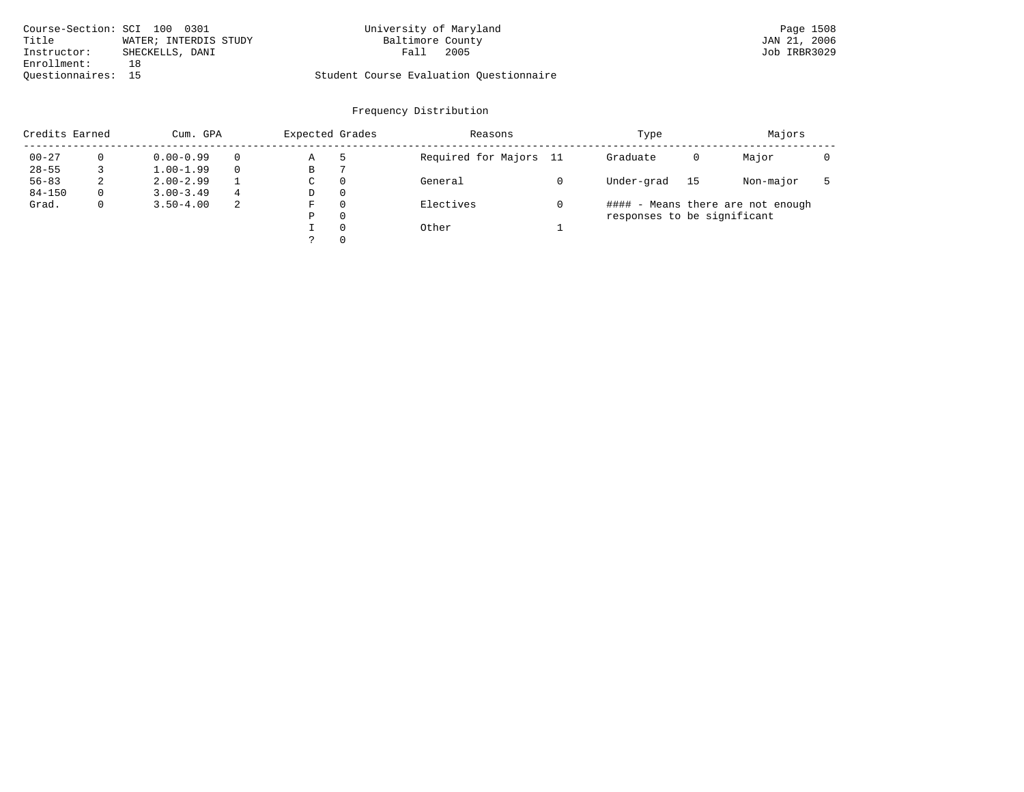| Course-Section: SCI 100 0301   | University of Maryland                  | Page 1508    |
|--------------------------------|-----------------------------------------|--------------|
| Title<br>WATER; INTERDIS STUDY | Baltimore County                        | JAN 21, 2006 |
| Instructor:<br>SHECKELLS, DANI | 2005<br>Fall                            | Job IRBR3029 |
| Enrollment:                    |                                         |              |
| Ouestionnaires: 15             | Student Course Evaluation Questionnaire |              |

| Credits Earned |          | Cum. GPA      |   | Expected Grades |          | Reasons                | Type                        |    | Majors                            |  |
|----------------|----------|---------------|---|-----------------|----------|------------------------|-----------------------------|----|-----------------------------------|--|
| $00 - 27$      | $\Omega$ | $0.00 - 0.99$ |   | Α               | -5       | Required for Majors 11 | Graduate                    | 0  | Major                             |  |
| $28 - 55$      |          | $1.00 - 1.99$ |   | В               |          |                        |                             |    |                                   |  |
| $56 - 83$      | 2        | $2.00 - 2.99$ |   | $\sim$<br>◡     | 0        | General                | Under-grad                  | 15 | Non-major                         |  |
| $84 - 150$     | 0        | $3.00 - 3.49$ | 4 | D               | 0        |                        |                             |    |                                   |  |
| Grad.          | 0        | $3.50 - 4.00$ | 2 | F               | 0        | Electives              |                             |    | #### - Means there are not enough |  |
|                |          |               |   | Ρ               | 0        |                        | responses to be significant |    |                                   |  |
|                |          |               |   |                 | $\Omega$ | Other                  |                             |    |                                   |  |
|                |          |               |   |                 | 0        |                        |                             |    |                                   |  |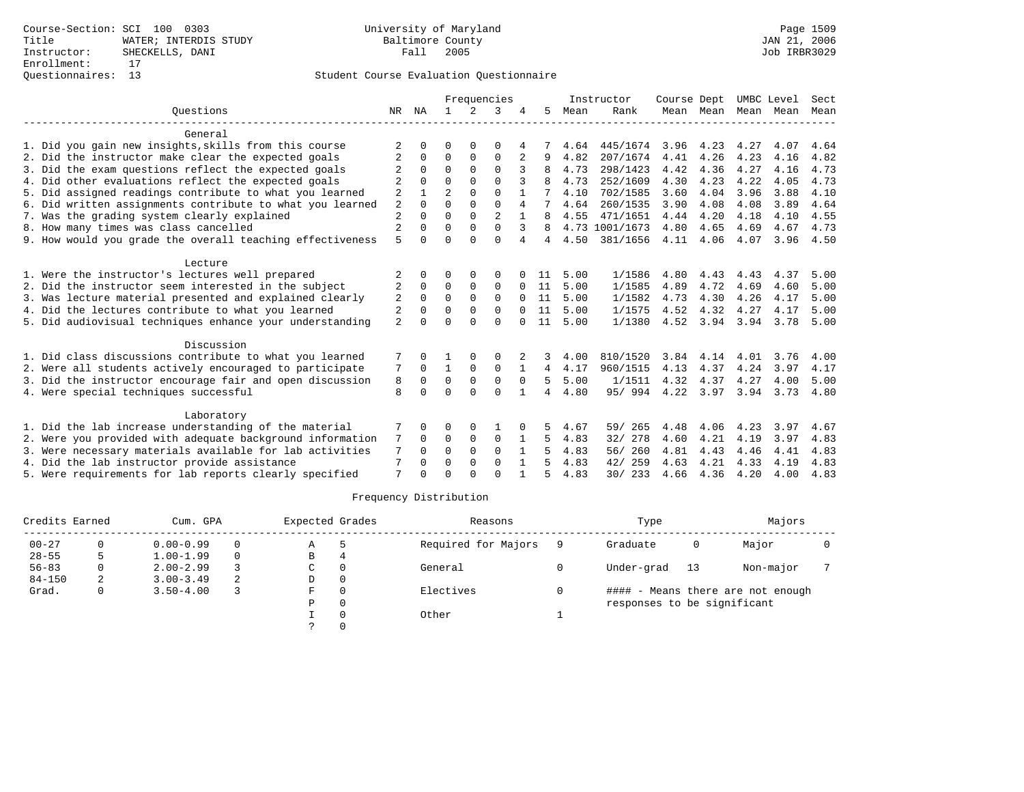|                                                           |                |          | Frequencies    |             |                |          | Instructor | Course Dept |                |      | UMBC Level | Sect |      |      |
|-----------------------------------------------------------|----------------|----------|----------------|-------------|----------------|----------|------------|-------------|----------------|------|------------|------|------|------|
| Ouestions                                                 | NR.            | ΝA       |                | 2           | 3              |          | .5         | Mean        | Rank           |      | Mean Mean  | Mean | Mean | Mean |
| General                                                   |                |          |                |             |                |          |            |             |                |      |            |      |      |      |
| 1. Did you gain new insights, skills from this course     | 2              |          | O              |             | 0              |          |            | 4.64        | 445/1674       | 3.96 | 4.23       | 4.27 | 4.07 | 4.64 |
| 2. Did the instructor make clear the expected goals       | 2              | $\Omega$ | $\Omega$       | $\Omega$    | $\Omega$       | 2        | 9          | 4.82        | 207/1674       | 4.41 | 4.26       | 4.23 | 4.16 | 4.82 |
| 3. Did the exam questions reflect the expected goals      | $\overline{c}$ | $\Omega$ | $\Omega$       | $\Omega$    | $\Omega$       | 3        |            | 4.73        | 298/1423       | 4.42 | 4.36       | 4.27 | 4.16 | 4.73 |
| 4. Did other evaluations reflect the expected goals       | 2              | $\cap$   | $\Omega$       | $\Omega$    | $\cap$         |          |            | 4.73        | 252/1609       | 4.30 | 4.23       | 4.22 | 4.05 | 4.73 |
| 5. Did assigned readings contribute to what you learned   | $\overline{2}$ |          | $\overline{a}$ | $\Omega$    | $\Omega$       |          |            | 4.10        | 702/1585       | 3.60 | 4.04       | 3.96 | 3.88 | 4.10 |
| 6. Did written assignments contribute to what you learned | 2              | $\cap$   | $\Omega$       | $\Omega$    | $\Omega$       | 4        |            | 4.64        | 260/1535       | 3.90 | 4.08       | 4.08 | 3.89 | 4.64 |
| 7. Was the grading system clearly explained               | $\overline{2}$ |          | $\Omega$       | $\Omega$    | $\overline{2}$ |          |            | 4.55        | 471/1651       | 4.44 | 4.20       | 4.18 | 4.10 | 4.55 |
| 8. How many times was class cancelled                     | 2              | $\Omega$ | $\Omega$       | $\Omega$    | $\Omega$       | 3        | 8          |             | 4.73 1001/1673 | 4.80 | 4.65       | 4.69 | 4.67 | 4.73 |
| 9. How would you grade the overall teaching effectiveness | 5              |          | $\Omega$       | $\cap$      | $\Omega$       | 4        | 4          | 4.50        | 381/1656       | 4.11 | 4.06       | 4.07 | 3.96 | 4.50 |
| Lecture                                                   |                |          |                |             |                |          |            |             |                |      |            |      |      |      |
| 1. Were the instructor's lectures well prepared           | 2              |          | $\Omega$       | $\Omega$    | $\Omega$       |          | 11         | 5.00        | 1/1586         | 4.80 | 4.43       | 4.43 | 4.37 | 5.00 |
| 2. Did the instructor seem interested in the subject      | 2              | $\Omega$ | $\Omega$       | $\Omega$    | $\Omega$       |          | 11         | 5.00        | 1/1585         | 4.89 | 4.72       | 4.69 | 4.60 | 5.00 |
| 3. Was lecture material presented and explained clearly   | 2              | $\Omega$ | $\Omega$       | $\Omega$    | $\Omega$       | $\Omega$ | 11         | 5.00        | 1/1582         | 4.73 | 4.30       | 4.26 | 4.17 | 5.00 |
| 4. Did the lectures contribute to what you learned        | 2              |          | $\Omega$       | $\Omega$    | $\Omega$       | 0        | 11         | 5.00        | 1/1575         | 4.52 | 4.32       | 4.27 | 4.17 | 5.00 |
| 5. Did audiovisual techniques enhance your understanding  | $\overline{2}$ |          | $\Omega$       | $\cap$      | $\Omega$       |          | 11         | 5.00        | 1/1380         | 4.52 | 3.94       | 3.94 | 3.78 | 5.00 |
| Discussion                                                |                |          |                |             |                |          |            |             |                |      |            |      |      |      |
| 1. Did class discussions contribute to what you learned   |                |          |                |             | 0              | 2        | 3          | 4.00        | 810/1520       | 3.84 | 4.14       | 4.01 | 3.76 | 4.00 |
| 2. Were all students actively encouraged to participate   | 7              | $\Omega$ | $\mathbf{1}$   | $\Omega$    | $\Omega$       |          | 4          | 4.17        | 960/1515       | 4.13 | 4.37       | 4.24 | 3.97 | 4.17 |
| 3. Did the instructor encourage fair and open discussion  | 8              | $\Omega$ | $\Omega$       | $\mathbf 0$ | $\Omega$       | $\Omega$ | 5          | 5.00        | 1/1511         | 4.32 | 4.37       | 4.27 | 4.00 | 5.00 |
| 4. Were special techniques successful                     | 8              | $\cap$   | $\cap$         | $\cap$      | $\cap$         |          | 4          | 4.80        | 95/994         |      | 4.22 3.97  | 3.94 | 3.73 | 4.80 |
| Laboratory                                                |                |          |                |             |                |          |            |             |                |      |            |      |      |      |
| 1. Did the lab increase understanding of the material     |                |          | $\Omega$       | 0           |                |          | 5          | 4.67        | 265<br>59/     | 4.48 | 4.06       | 4.23 | 3.97 | 4.67 |
| 2. Were you provided with adequate background information | 7              | $\Omega$ | 0              | $\mathbf 0$ | 0              |          | 5          | 4.83        | 32/ 278        | 4.60 | 4.21       | 4.19 | 3.97 | 4.83 |
| 3. Were necessary materials available for lab activities  | 7              | $\Omega$ | $\Omega$       | $\Omega$    | $\Omega$       |          | 5          | 4.83        | 56/ 260        | 4.81 | 4.43       | 4.46 | 4.41 | 4.83 |
| 4. Did the lab instructor provide assistance              | 7              | $\Omega$ | $\Omega$       | $\Omega$    | $\Omega$       |          | 5          | 4.83        | 259<br>42/     | 4.63 | 4.21       | 4.33 | 4.19 | 4.83 |
| 5. Were requirements for lab reports clearly specified    | 7              |          | $\cap$         |             | $\cap$         |          | 5          | 4.83        | 30/ 233        | 4.66 | 4.36       | 4.20 | 4.00 | 4.83 |

| Credits Earned |    | Cum. GPA      |          | Expected Grades |          | Reasons             | Type                        |      | Majors                            |  |
|----------------|----|---------------|----------|-----------------|----------|---------------------|-----------------------------|------|-----------------------------------|--|
| $00 - 27$      |    | $0.00 - 0.99$ | $\Omega$ | A               |          | Required for Majors | Graduate                    | 0    | Major                             |  |
| $28 - 55$      | 5. | $1.00 - 1.99$ | $\Omega$ | B               | 4        |                     |                             |      |                                   |  |
| $56 - 83$      |    | $2.00 - 2.99$ |          | C               |          | General             | Under-grad                  | - 13 | Non-major                         |  |
| $84 - 150$     | 2  | $3.00 - 3.49$ |          | D               | $\Omega$ |                     |                             |      |                                   |  |
| Grad.          |    | $3.50 - 4.00$ |          | F               |          | Electives           |                             |      | #### - Means there are not enough |  |
|                |    |               |          | Ρ               |          |                     | responses to be significant |      |                                   |  |
|                |    |               |          |                 | Other    |                     |                             |      |                                   |  |
|                |    |               |          |                 |          |                     |                             |      |                                   |  |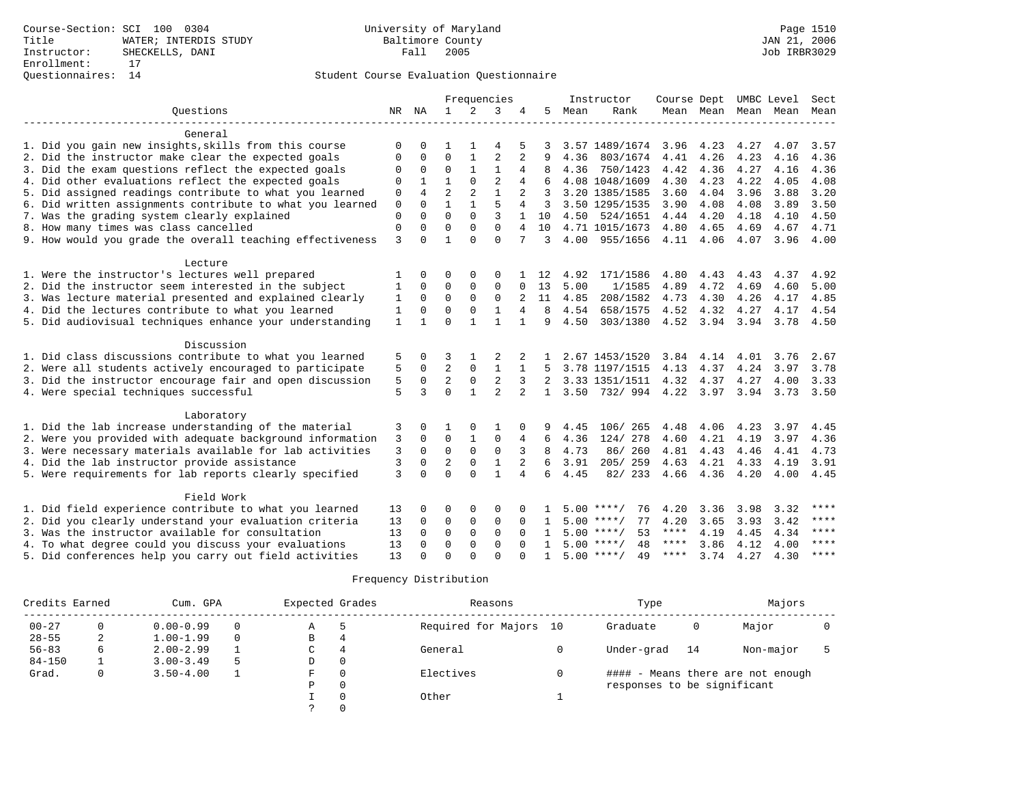|                                                                     |              |                      |                            |                          | Frequencies       |                |              |              | Instructor               |              |                |      | Course Dept UMBC Level   | Sect         |
|---------------------------------------------------------------------|--------------|----------------------|----------------------------|--------------------------|-------------------|----------------|--------------|--------------|--------------------------|--------------|----------------|------|--------------------------|--------------|
| Ouestions                                                           |              | NR NA                | $\mathbf{1}$               | 2                        | 3                 | 4              | 5            | Mean         | Rank                     |              |                |      | Mean Mean Mean Mean Mean |              |
|                                                                     |              |                      |                            |                          |                   |                |              |              |                          |              |                |      |                          |              |
| General                                                             |              |                      |                            |                          |                   |                |              |              |                          |              |                |      |                          |              |
| 1. Did you gain new insights, skills from this course               | $\Omega$     |                      |                            |                          |                   |                |              |              | 3.57 1489/1674           | 3.96         | 4.23           | 4.27 | 4.07                     | 3.57         |
| 2. Did the instructor make clear the expected goals                 | 0            | 0                    | $\mathbf 0$                | 1                        | $\overline{2}$    | $\overline{2}$ | 9            | 4.36         | 803/1674                 | 4.41         | 4.26           | 4.23 | 4.16                     | 4.36         |
| 3. Did the exam questions reflect the expected goals                | 0            | $\mathbf 0$          | $\mathbf 0$                |                          | $\mathbf{1}$      | 4              | 8            | 4.36         | 750/1423                 | 4.42         | 4.36           | 4.27 | 4.16                     | 4.36         |
| 4. Did other evaluations reflect the expected goals                 | 0            |                      | $\mathbf{1}$               | $\Omega$                 | $\overline{2}$    | 4              |              |              | 4.08 1048/1609           | 4.30         | 4.23           | 4.22 | 4.05                     | 4.08         |
| 5. Did assigned readings contribute to what you learned             | 0            | $\overline{4}$       | $\overline{2}$             | 2                        | $\mathbf{1}$      |                | 3            |              | 3.20 1385/1585           | 3.60         | 4.04           | 3.96 | 3.88                     | 3.20         |
| 6. Did written assignments contribute to what you learned           | $\mathbf 0$  | $\Omega$             | $\mathbf{1}$               |                          | 5                 | 4              | 3            |              | 3.50 1295/1535           | 3.90         | 4.08           | 4.08 | 3.89                     | 3.50         |
| 7. Was the grading system clearly explained                         | 0            | $\Omega$             | $\Omega$                   | $\Omega$                 |                   |                | 10           |              | 4.50 524/1651            | 4.44         | 4.20           | 4.18 | 4.10                     | 4.50         |
| 8. How many times was class cancelled                               | $\Omega$     | $\Omega$             | $\Omega$                   | $\Omega$                 | $\Omega$          | 4              | 10           |              | 4.71 1015/1673           | 4.80         | 4.65           | 4.69 | 4.67                     | 4.71         |
| 9. How would you grade the overall teaching effectiveness           | 3            | $\cap$               | $\mathbf{1}$               | $\cap$                   | $\Omega$          | 7              | 3            |              | 4.00 955/1656            |              | 4.11 4.06      | 4.07 | $3.96$ 4.00              |              |
| Lecture                                                             |              |                      |                            |                          |                   |                |              |              |                          |              |                |      |                          |              |
| 1. Were the instructor's lectures well prepared                     |              | 0                    | $\Omega$                   | 0                        | 0                 |                | 12           | 4.92         | 171/1586                 | 4.80         | 4.43           | 4.43 | 4.37                     | 4.92         |
| 2. Did the instructor seem interested in the subject                | 1            | $\mathbf 0$          | 0                          | $\Omega$                 | $\Omega$          | $\Omega$       | 13           | 5.00         | 1/1585                   | 4.89         | 4.72           | 4.69 | 4.60                     | 5.00         |
| 3. Was lecture material presented and explained clearly             | 1            | $\Omega$             | $\Omega$                   | $\Omega$                 | $\Omega$          | 2              | 11           | 4.85         | 208/1582                 | 4.73         | 4.30           | 4.26 | 4.17                     | 4.85         |
| 4. Did the lectures contribute to what you learned                  | $\mathbf{1}$ | $\Omega$             | $\Omega$                   | $\Omega$                 | $\mathbf{1}$      | 4              | 8            | 4.54         | 658/1575                 | 4.52         | 4.32           | 4.27 | 4.17                     | 4.54         |
| 5. Did audiovisual techniques enhance your understanding            | $\mathbf{1}$ |                      | $\Omega$                   |                          | 1                 |                | 9            | 4.50         | 303/1380                 |              | 4.52 3.94 3.94 |      | 3.78                     | 4.50         |
|                                                                     |              |                      |                            |                          |                   |                |              |              |                          |              |                |      |                          |              |
| Discussion                                                          |              |                      |                            |                          |                   |                |              |              |                          |              |                |      |                          |              |
| 1. Did class discussions contribute to what you learned             | 5            | $\Omega$             | 3                          |                          | 2                 |                |              |              | 2.67 1453/1520           | 3.84         | 4.14           | 4.01 | 3.76                     | 2.67         |
| 2. Were all students actively encouraged to participate             | 5            | $\Omega$             | $\overline{2}$             | $\mathbf 0$              | $\mathbf{1}$      |                | 5            |              | 3.78 1197/1515           | 4.13         | 4.37           | 4.24 | 3.97                     | 3.78         |
| 3. Did the instructor encourage fair and open discussion            | 5            | $\mathbf 0$          | $\overline{a}$             | $\mathbf 0$              | $\overline{2}$    | 3              | 2            |              | 3.33 1351/1511 4.32 4.37 |              |                | 4.27 | 4.00                     | 3.33         |
| 4. Were special techniques successful                               | 5            | 3                    | $\Omega$                   | $\mathbf{1}$             | $\overline{a}$    | $\overline{2}$ | $\mathbf{1}$ | 3.50         | 732/994 4.22             |              | 3.97           | 3.94 | 3.73                     | 3.50         |
|                                                                     |              |                      |                            |                          |                   |                |              |              |                          |              |                |      |                          |              |
| Laboratory<br>1. Did the lab increase understanding of the material |              | $\Omega$             |                            |                          |                   |                |              |              |                          |              |                | 4.23 |                          |              |
| 2. Were you provided with adequate background information           | 3            | $\Omega$             | $\mathbf 0$                |                          | $\mathbf 0$       |                | 6            | 4.45<br>4.36 | 106/ 265<br>124/ 278     | 4.48<br>4.60 | 4.06<br>4.21   | 4.19 | 3.97<br>3.97             | 4.45<br>4.36 |
|                                                                     | 3            | $\Omega$             | $\Omega$                   | $\Omega$                 | $\mathbf 0$       | 4<br>3         | $\mathsf{R}$ | 4.73         |                          |              |                |      |                          |              |
| 3. Were necessary materials available for lab activities            | 3            |                      |                            |                          |                   |                |              |              | 86/260                   | 4.81         | 4.43           | 4.46 | 4.41                     | 4.73         |
| 4. Did the lab instructor provide assistance                        | 3            | $\Omega$<br>$\Omega$ | $\overline{2}$<br>$\Omega$ | $\mathbf{0}$<br>$\Omega$ | 1<br>$\mathbf{1}$ | 2              | 6<br>6       | 3.91         | 205/259                  | 4.63         | 4.21           | 4.33 | 4.19                     | 3.91         |
| 5. Were requirements for lab reports clearly specified              | 3            |                      |                            |                          |                   | 4              |              | 4.45         | 82/ 233                  | 4.66 4.36    |                | 4.20 | 4.00                     | 4.45         |
| Field Work                                                          |              |                      |                            |                          |                   |                |              |              |                          |              |                |      |                          |              |
| 1. Did field experience contribute to what you learned              | 13           | $\Omega$             | 0                          | 0                        | 0                 |                |              |              | $5.00$ ****/<br>76       | 4.20         | 3.36           | 3.98 | 3.32                     | ****         |
| 2. Did you clearly understand your evaluation criteria              | 13           | $\Omega$             | 0                          | 0                        | $\mathbf 0$       | $\Omega$       | $\mathbf{1}$ |              | $5.00$ ****/<br>77       | 4.20         | 3.65           | 3.93 | 3.42                     | ****         |
| 3. Was the instructor available for consultation                    | 13           | $\Omega$             | $\Omega$                   | $\Omega$                 | $\Omega$          | $\Omega$       | $\mathbf{1}$ |              | $5.00$ ****/<br>53       | $***$ * * *  | 4.19           | 4.45 | 4.34                     | ****         |
| 4. To what degree could you discuss your evaluations                | 13           | $\Omega$             | $\Omega$                   | $\Omega$                 | $\Omega$          |                | $\mathbf{1}$ |              | $5.00$ ****/<br>48       | ****         | 3.86           | 4.12 | 4.00                     | $***$ * * *  |
| 5. Did conferences help you carry out field activities              | 13           | $\cap$               | $\Omega$                   | $\cap$                   | $\cap$            |                | $\mathbf{1}$ |              | $5.00$ ****/<br>49       | **** 3.74    |                | 4.27 | 4.30                     | $***$        |

|            | Credits Earned<br>Expected Grades<br>Cum. GPA |               |          |   |              | Reasons                | Type                        | Majors |                                   |  |
|------------|-----------------------------------------------|---------------|----------|---|--------------|------------------------|-----------------------------|--------|-----------------------------------|--|
| $00 - 27$  | 0                                             | $0.00 - 0.99$ | $\Omega$ | Α | ל            | Required for Majors 10 | Graduate                    | 0      | Major                             |  |
| $28 - 55$  | ∠                                             | $1.00 - 1.99$ | $\Omega$ | B | 4            |                        |                             |        |                                   |  |
| $56 - 83$  | b                                             | $2.00 - 2.99$ |          | C | 4            | General                | Under-grad                  | 14     | Non-major                         |  |
| $84 - 150$ |                                               | $3.00 - 3.49$ | 5        | D | $\mathbf{0}$ |                        |                             |        |                                   |  |
| Grad.      | 0                                             | $3.50 - 4.00$ |          | F | 0            | Electives              |                             |        | #### - Means there are not enough |  |
|            |                                               |               |          | Ρ | 0            |                        | responses to be significant |        |                                   |  |
|            |                                               |               |          |   | $\Omega$     | Other                  |                             |        |                                   |  |
|            |                                               |               |          |   | $\Omega$     |                        |                             |        |                                   |  |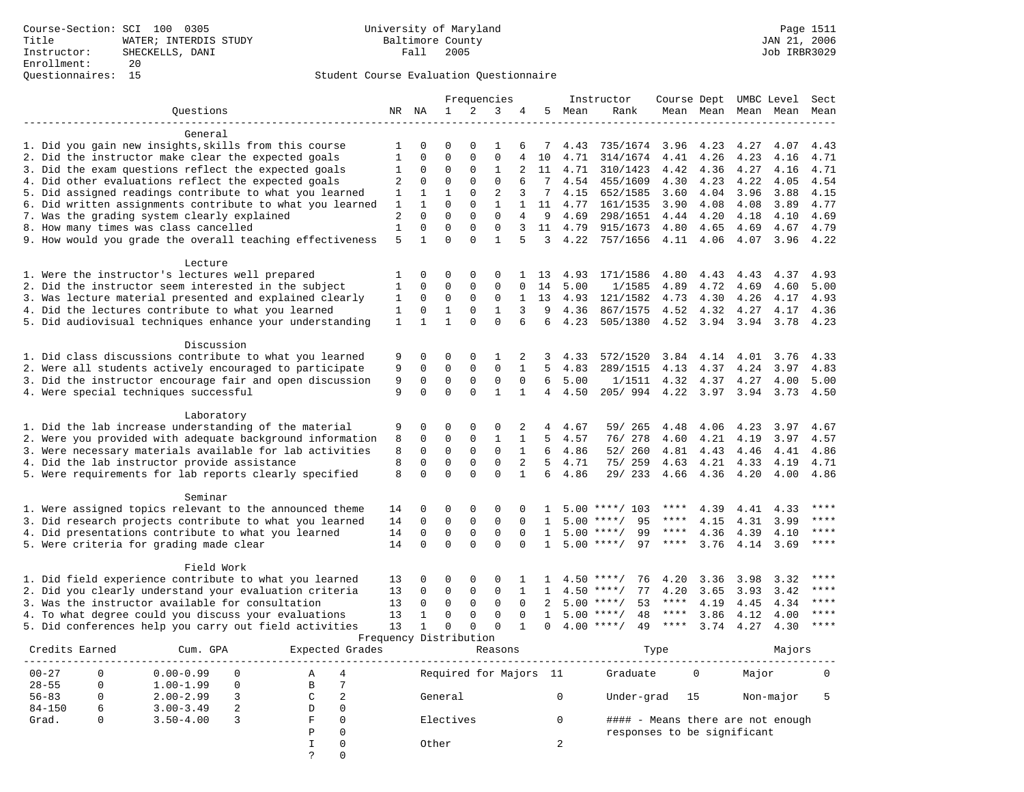|                                                                                                             |              |                        |               |                      | Frequencies      |                |              |              | Instructor             | Course Dept UMBC Level |              |              |              | Sect         |
|-------------------------------------------------------------------------------------------------------------|--------------|------------------------|---------------|----------------------|------------------|----------------|--------------|--------------|------------------------|------------------------|--------------|--------------|--------------|--------------|
| Ouestions                                                                                                   |              | NR NA                  | $\mathbf{1}$  | $\overline{2}$       | 3                | 4              | 5            | Mean         | Rank                   |                        | Mean Mean    | Mean         | Mean         | Mean         |
|                                                                                                             |              |                        |               |                      |                  |                |              |              |                        |                        |              |              |              |              |
| General                                                                                                     |              | O                      |               |                      |                  |                |              |              |                        |                        |              |              |              |              |
| 1. Did you gain new insights, skills from this course                                                       | 1<br>1       | 0                      | 0<br>$\Omega$ | $\Omega$<br>$\Omega$ | 1<br>$\mathbf 0$ | 6<br>4         | 7<br>10      | 4.43<br>4.71 | 735/1674<br>314/1674   | 3.96                   | 4.23<br>4.26 | 4.27<br>4.23 | 4.07<br>4.16 | 4.43<br>4.71 |
| 2. Did the instructor make clear the expected goals<br>3. Did the exam questions reflect the expected goals | $\mathbf{1}$ | 0                      | $\Omega$      | 0                    | $1\,$            | 2              | 11           | 4.71         | 310/1423               | 4.41<br>4.42           | 4.36         | 4.27         | 4.16         | 4.71         |
| 4. Did other evaluations reflect the expected goals                                                         | 2            | $\Omega$               | $\Omega$      | $\Omega$             | $\mathbf 0$      | 6              |              | 4.54         | 455/1609               | 4.30                   | 4.23         | 4.22         | 4.05         | 4.54         |
| 5. Did assigned readings contribute to what you learned                                                     | 1            | $\mathbf{1}$           | $\mathbf{1}$  | $\Omega$             | $\overline{2}$   | 3              | 7            | 4.15         | 652/1585               | 3.60                   | 4.04         | 3.96         | 3.88         | 4.15         |
| 6. Did written assignments contribute to what you learned                                                   | 1            | $\mathbf{1}$           | $\Omega$      | $\Omega$             | $\mathbf{1}$     | $\mathbf{1}$   | 11           | 4.77         | 161/1535               | 3.90                   | 4.08         | 4.08         | 3.89         | 4.77         |
| 7. Was the grading system clearly explained                                                                 | 2            | $\Omega$               | $\Omega$      | $\Omega$             | $\Omega$         | 4              | 9            | 4.69         | 298/1651               | 4.44                   | 4.20         | 4.18         | 4.10         | 4.69         |
| 8. How many times was class cancelled                                                                       | 1            | 0                      | $\Omega$      | 0                    | $\mathbf 0$      | 3              | 11           | 4.79         | 915/1673               | 4.80                   | 4.65         | 4.69         | 4.67         | 4.79         |
| 9. How would you grade the overall teaching effectiveness                                                   | 5            | $\mathbf{1}$           | $\Omega$      | $\Omega$             | $\mathbf{1}$     | 5              | 3            | 4.22         | 757/1656               | 4.11                   | 4.06         | 4.07         | 3.96         | 4.22         |
|                                                                                                             |              |                        |               |                      |                  |                |              |              |                        |                        |              |              |              |              |
| Lecture                                                                                                     |              |                        |               |                      |                  |                |              |              |                        |                        |              |              |              |              |
| 1. Were the instructor's lectures well prepared                                                             | 1            | $\Omega$               | $\Omega$      | $\Omega$             | $\Omega$         |                | 13           | 4.93         | 171/1586               | 4.80                   | 4.43         | 4.43         | 4.37         | 4.93         |
| 2. Did the instructor seem interested in the subject                                                        | 1            | $\Omega$               | $\Omega$      | 0                    | $\mathbf 0$      | $\Omega$       | 14           | 5.00         | 1/1585                 | 4.89                   | 4.72         | 4.69         | 4.60         | 5.00         |
| 3. Was lecture material presented and explained clearly                                                     | $1\,$        | 0                      | $\mathbf{0}$  | $\Omega$             | $\mathbf 0$      | 1              | 13           | 4.93         | 121/1582               | 4.73                   | 4.30         | 4.26         | 4.17         | 4.93         |
| 4. Did the lectures contribute to what you learned                                                          | $\mathbf{1}$ | 0                      | $\mathbf{1}$  | $\mathbf 0$          | $\mathbf{1}$     | 3              | 9            | 4.36         | 867/1575               | 4.52                   | 4.32         | 4.27         | 4.17         | 4.36         |
| 5. Did audiovisual techniques enhance your understanding                                                    | $\mathbf{1}$ | $\mathbf{1}$           | $\mathbf{1}$  | $\Omega$             | $\Omega$         | 6              | 6            | 4.23         | 505/1380               | 4.52                   | 3.94         | 3.94         | 3.78         | 4.23         |
| Discussion                                                                                                  |              |                        |               |                      |                  |                |              |              |                        |                        |              |              |              |              |
| 1. Did class discussions contribute to what you learned                                                     | 9            | 0                      | $\Omega$      | $\Omega$             | 1                | 2              | 3            | 4.33         | 572/1520               | 3.84                   | 4.14         | 4.01         | 3.76         | 4.33         |
| 2. Were all students actively encouraged to participate                                                     | 9            | $\mathbf 0$            | $\Omega$      | 0                    | $\mathbf 0$      | $\mathbf{1}$   | 5            | 4.83         | 289/1515               | 4.13                   | 4.37         | 4.24         | 3.97         | 4.83         |
| 3. Did the instructor encourage fair and open discussion                                                    | 9            | $\mathbf 0$            | $\mathbf 0$   | 0                    | $\mathbf 0$      | $\Omega$       | 6            | 5.00         | 1/1511                 | 4.32                   | 4.37         | 4.27         | 4.00         | 5.00         |
| 4. Were special techniques successful                                                                       | 9            | $\Omega$               | $\Omega$      | $\Omega$             | $\mathbf{1}$     | $\mathbf{1}$   | 4            | 4.50         | 205/994                | 4.22                   | 3.97         | 3.94         | 3.73         | 4.50         |
|                                                                                                             |              |                        |               |                      |                  |                |              |              |                        |                        |              |              |              |              |
| Laboratory                                                                                                  |              |                        |               |                      |                  |                |              |              |                        |                        |              |              |              |              |
| 1. Did the lab increase understanding of the material                                                       | 9            | 0                      | $\Omega$      | $\Omega$             | 0                | 2              | 4            | 4.67         | 59/ 265                | 4.48                   | 4.06         | 4.23         | 3.97         | 4.67         |
| 2. Were you provided with adequate background information                                                   | 8            | $\mathbf 0$            | $\mathbf{0}$  | $\Omega$             | $\mathbf{1}$     | $\mathbf{1}$   | 5            | 4.57         | 76/ 278                | 4.60                   | 4.21         | 4.19         | 3.97         | 4.57         |
| 3. Were necessary materials available for lab activities                                                    | 8            | $\mathbf 0$            | $\Omega$      | $\mathbf 0$          | $\Omega$         | $\mathbf{1}$   | 6            | 4.86         | 52/ 260                | 4.81                   | 4.43         | 4.46         | 4.41         | 4.86         |
| 4. Did the lab instructor provide assistance                                                                | 8            | $\mathbf 0$            | $\mathbf 0$   | $\mathbf 0$          | $\mathbf 0$      | $\overline{2}$ | 5            | 4.71         | 75/ 259                | 4.63                   | 4.21         | 4.33         | 4.19         | 4.71         |
| 5. Were requirements for lab reports clearly specified                                                      | 8            | $\Omega$               | $\Omega$      | $\Omega$             | $\Omega$         | $\mathbf{1}$   | б.           | 4.86         | 29/ 233                | 4.66                   | 4.36         | 4.20         | 4.00         | 4.86         |
| Seminar                                                                                                     |              |                        |               |                      |                  |                |              |              |                        |                        |              |              |              |              |
| 1. Were assigned topics relevant to the announced theme                                                     | 14           | 0                      | $\Omega$      | $\Omega$             | $\Omega$         | $\Omega$       |              | 5.00         | ****/ 103              |                        | 4.39         | 4.41         | 4.33         | ****         |
| 3. Did research projects contribute to what you learned                                                     | 14           | $\Omega$               | $\Omega$      | $\Omega$             | $\Omega$         | $\Omega$       | $\mathbf{1}$ | 5.00         | 95<br>$***$ /          | $***$ * * *            | 4.15         | 4.31         | 3.99         | ****         |
| 4. Did presentations contribute to what you learned                                                         | 14           | $\Omega$               | $\Omega$      | $\mathbf 0$          | $\mathbf 0$      | $\Omega$       | $\mathbf{1}$ | 5.00         | 99<br>$***$ /          | ****                   | 4.36         | 4.39         | 4.10         | $***$        |
| 5. Were criteria for grading made clear                                                                     | 14           | $\Omega$               | $\Omega$      | $\Omega$             | $\Omega$         | $\Omega$       | $\mathbf{1}$ |              | $5.00$ ****/<br>97     | ****                   | 3.76         | 4.14         | 3.69         | ****         |
|                                                                                                             |              |                        |               |                      |                  |                |              |              |                        |                        |              |              |              |              |
| Field Work<br>1. Did field experience contribute to what you learned                                        | 13           | 0                      | $\Omega$      | $\Omega$             | $\mathbf 0$      |                |              |              | $4.50$ ****/<br>76     | 4.20                   |              |              | 3.32         | $***$ * * *  |
|                                                                                                             | 13           | 0                      | $\Omega$      | $\mathsf 0$          | $\mathbf 0$      | $\mathbf{1}$   | 1            | 4.50         | 77                     | 4.20                   | 3.36         | 3.98         |              |              |
| 2. Did you clearly understand your evaluation criteria<br>3. Was the instructor available for consultation  | 13           | $\Omega$               | $\Omega$      | $\mathbf 0$          | $\mathbf 0$      | $\Omega$       | 2            | 5.00         | ****/<br>$***$ /<br>53 | $***$ * * *            | 3.65<br>4.19 | 3.93<br>4.45 | 3.42<br>4.34 | $***$        |
| 4. To what degree could you discuss your evaluations                                                        | 13           | 1                      | $\mathbf 0$   | $\mathbf 0$          | $\mathbf 0$      | $\Omega$       | $\mathbf{1}$ |              | $5.00$ ****/<br>48     | $***$ * *              | 3.86         |              | 4.00         | ****         |
| 5. Did conferences help you carry out field activities                                                      | 13           | $\mathbf{1}$           | $\Omega$      | $\Omega$             | $\Omega$         | $\mathbf{1}$   | $\Omega$     | 4.00         | 49<br>****/            | ****                   | 3.74         | 4.12<br>4.27 | 4.30         | ****         |
|                                                                                                             |              | Frequency Distribution |               |                      |                  |                |              |              |                        |                        |              |              |              |              |
|                                                                                                             |              |                        |               |                      |                  |                |              |              |                        |                        |              |              |              |              |

| Credits Earned |    | Cum. GPA      |   |    | Expected Grades | Reasons                | Type                        |    | Majors                            |  |  |
|----------------|----|---------------|---|----|-----------------|------------------------|-----------------------------|----|-----------------------------------|--|--|
| $00 - 27$      |    | $0.00 - 0.99$ |   | Α  | 4               | Required for Majors 11 | Graduate                    | U  | Major                             |  |  |
| $28 - 55$      |    | $1.00 - 1.99$ |   | В  |                 |                        |                             |    |                                   |  |  |
| $56 - 83$      | 0  | $2.00 - 2.99$ |   | C  | 2               | General                | Under-grad                  | 15 | Non-major                         |  |  |
| $84 - 150$     | 6. | $3.00 - 3.49$ | 2 | D  | $\Omega$        |                        |                             |    |                                   |  |  |
| Grad.          |    | $3.50 - 4.00$ |   | F. | $\Omega$        | Electives              |                             |    | #### - Means there are not enough |  |  |
|                |    |               |   | Ρ  | $\Omega$        |                        | responses to be significant |    |                                   |  |  |
|                |    |               |   |    |                 | Other                  |                             |    |                                   |  |  |
|                |    |               |   |    |                 |                        |                             |    |                                   |  |  |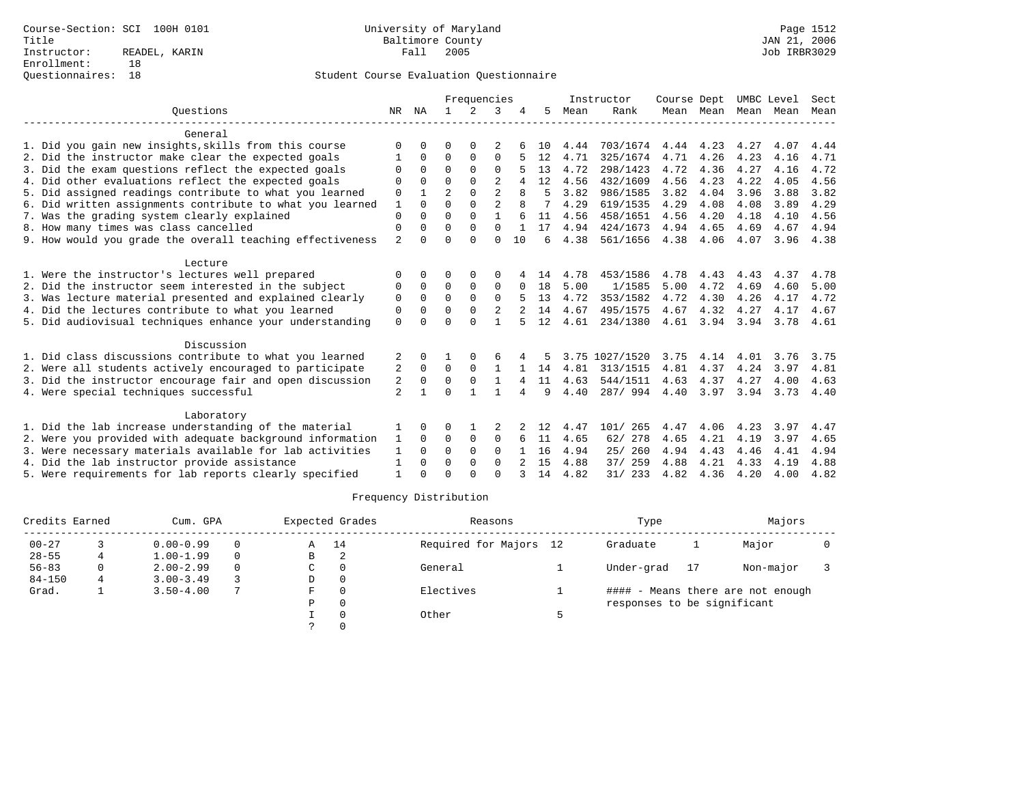|                                                           |                |              |                | Frequencies |                |              |    |      | Instructor     | Course Dept |      |                     | UMBC Level | Sect |
|-----------------------------------------------------------|----------------|--------------|----------------|-------------|----------------|--------------|----|------|----------------|-------------|------|---------------------|------------|------|
| Ouestions                                                 | NR             | ΝA           | $\mathbf{1}$   | 2           | 3              |              | 5  | Mean | Rank           |             |      | Mean Mean Mean Mean |            | Mean |
| General                                                   |                |              |                |             |                |              |    |      |                |             |      |                     |            |      |
| 1. Did you gain new insights, skills from this course     | O              |              | O              | $\Omega$    |                |              | 10 | 4.44 | 703/1674       | 4.44        | 4.23 | 4.27                | 4.07       | 4.44 |
| 2. Did the instructor make clear the expected goals       |                | $\Omega$     | 0              | 0           | $\mathbf 0$    |              | 12 | 4.71 | 325/1674       | 4.71        | 4.26 | 4.23                | 4.16       | 4.71 |
| 3. Did the exam questions reflect the expected goals      | $\Omega$       | $\Omega$     | $\Omega$       | $\Omega$    | 0              |              | 13 | 4.72 | 298/1423       | 4.72        | 4.36 | 4.27                | 4.16       | 4.72 |
| 4. Did other evaluations reflect the expected goals       | O              | $\Omega$     | $\Omega$       | $\Omega$    | $\overline{a}$ | 4            | 12 | 4.56 | 432/1609       | 4.56        | 4.23 | 4.22                | 4.05       | 4.56 |
| 5. Did assigned readings contribute to what you learned   | 0              |              | $\overline{2}$ | $\mathbf 0$ | $\overline{a}$ | $\mathsf{R}$ | 5  | 3.82 | 986/1585       | 3.82        | 4.04 | 3.96                | 3.88       | 3.82 |
| 6. Did written assignments contribute to what you learned | 1              | $\Omega$     | $\Omega$       | $\Omega$    | $\overline{a}$ |              |    | 4.29 | 619/1535       | 4.29        | 4.08 | 4.08                | 3.89       | 4.29 |
| 7. Was the grading system clearly explained               | $\mathbf{0}$   | $\Omega$     | $\Omega$       | $\Omega$    |                |              | 11 | 4.56 | 458/1651       | 4.56        | 4.20 | 4.18                | 4.10       | 4.56 |
| 8. How many times was class cancelled                     | 0              | $\Omega$     | $\Omega$       | $\Omega$    | $\Omega$       | $\mathbf{1}$ | 17 | 4.94 | 424/1673       | 4.94        | 4.65 | 4.69                | 4.67       | 4.94 |
| 9. How would you grade the overall teaching effectiveness | $\overline{a}$ | $\Omega$     | $\Omega$       | $\cap$      | $\Omega$       | 10           | б. | 4.38 | 561/1656       | 4.38        | 4.06 | 4.07                | 3.96       | 4.38 |
| Lecture                                                   |                |              |                |             |                |              |    |      |                |             |      |                     |            |      |
| 1. Were the instructor's lectures well prepared           | O              |              |                | $\Omega$    | $\Omega$       |              | 14 | 4.78 | 453/1586       | 4.78        | 4.43 | 4.43                | 4.37       | 4.78 |
| 2. Did the instructor seem interested in the subject      | 0              | 0            | 0              | $\mathbf 0$ | $\mathbf 0$    |              | 18 | 5.00 | 1/1585         | 5.00        | 4.72 | 4.69                | 4.60       | 5.00 |
| 3. Was lecture material presented and explained clearly   | 0              | $\Omega$     | $\Omega$       | $\Omega$    | $\Omega$       |              | 13 | 4.72 | 353/1582       | 4.72        | 4.30 | 4.26                | 4.17       | 4.72 |
| 4. Did the lectures contribute to what you learned        | 0              | 0            | $\Omega$       | $\mathbf 0$ | 2              |              | 14 | 4.67 | 495/1575       | 4.67        | 4.32 | 4.27                | 4.17       | 4.67 |
| 5. Did audiovisual techniques enhance your understanding  | $\mathbf 0$    | $\cap$       | $\cap$         | $\cap$      | $\mathbf{1}$   |              | 12 | 4.61 | 234/1380       | 4.61        | 3.94 | 3.94                | 3.78       | 4.61 |
| Discussion                                                |                |              |                |             |                |              |    |      |                |             |      |                     |            |      |
| 1. Did class discussions contribute to what you learned   | 2              |              |                |             | 6              |              |    |      | 3.75 1027/1520 | 3.75        | 4.14 | 4.01                | 3.76       | 3.75 |
| 2. Were all students actively encouraged to participate   | 2              | $\Omega$     | $\Omega$       | $\Omega$    | 1              |              | 14 | 4.81 | 313/1515       | 4.81        | 4.37 | 4.24                | 3.97       | 4.81 |
| 3. Did the instructor encourage fair and open discussion  | $\sqrt{2}$     | $\Omega$     | $\Omega$       | $\mathbf 0$ | 1              | 4            | 11 | 4.63 | 544/1511       | 4.63        | 4.37 | 4.27                | 4.00       | 4.63 |
| 4. Were special techniques successful                     | 2              | $\mathbf{1}$ | $\Omega$       | 1           | 1              | 4            | 9  | 4.40 | 287/994        | 4.40        | 3.97 | 3.94                | 3.73       | 4.40 |
| Laboratory                                                |                |              |                |             |                |              |    |      |                |             |      |                     |            |      |
| 1. Did the lab increase understanding of the material     | 1              | 0            | 0              |             | 2              |              | 12 | 4.47 | 101/<br>265    | 4.47        | 4.06 | 4.23                | 3.97       | 4.47 |
| 2. Were you provided with adequate background information | 1              | $\Omega$     | 0              | $\mathbf 0$ | $\Omega$       | 6            | 11 | 4.65 | 62/ 278        | 4.65        | 4.21 | 4.19                | 3.97       | 4.65 |
| 3. Were necessary materials available for lab activities  | 1              | $\Omega$     | 0              | $\Omega$    | $\Omega$       |              | 16 | 4.94 | 25/260         | 4.94        | 4.43 | 4.46                | 4.41       | 4.94 |
| 4. Did the lab instructor provide assistance              | 1              | $\Omega$     | $\Omega$       | $\mathbf 0$ | $\Omega$       |              | 15 | 4.88 | 259<br>37/     | 4.88        | 4.21 | 4.33                | 4.19       | 4.88 |
| 5. Were requirements for lab reports clearly specified    | $\mathbf{1}$   | $\Omega$     | $\cap$         | $\cap$      | $\Omega$       |              | 14 | 4.82 | 31/233         | 4.82        | 4.36 | 4.20                | 4.00       | 4.82 |

| Credits Earned | Cum. GPA |               |          |   | Expected Grades | Reasons                | Type                        | Majors |                                   |  |
|----------------|----------|---------------|----------|---|-----------------|------------------------|-----------------------------|--------|-----------------------------------|--|
| $00 - 27$      |          | $0.00 - 0.99$ | $\Omega$ | A | 14              | Required for Majors 12 | Graduate                    |        | Major                             |  |
| $28 - 55$      |          | $1.00 - 1.99$ | $\Omega$ | В | 2               |                        |                             |        |                                   |  |
| $56 - 83$      | 0        | $2.00 - 2.99$ | $\Omega$ | C |                 | General                | Under-grad                  | 17     | Non-major                         |  |
| $84 - 150$     | 4        | $3.00 - 3.49$ |          | D |                 |                        |                             |        |                                   |  |
| Grad.          |          | $3.50 - 4.00$ | 7        | F |                 | Electives              |                             |        | #### - Means there are not enough |  |
|                |          |               |          | P | $\Omega$        |                        | responses to be significant |        |                                   |  |
|                |          |               |          |   |                 | Other                  |                             |        |                                   |  |
|                |          |               |          |   |                 |                        |                             |        |                                   |  |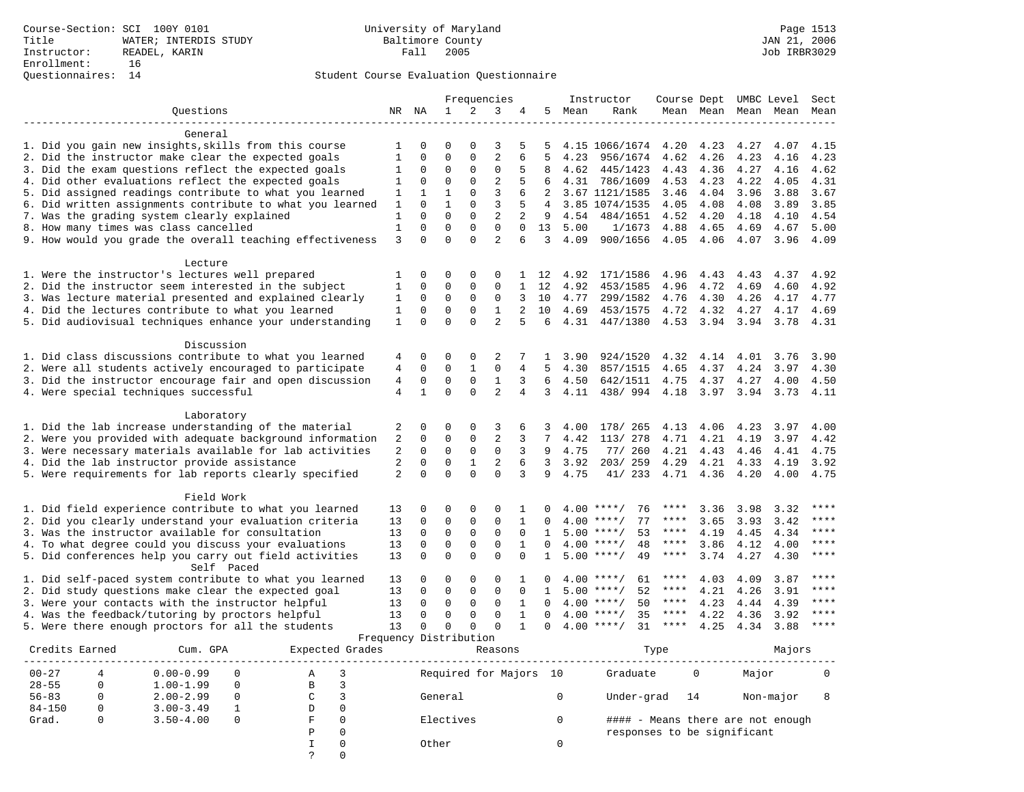## Questionnaires: 14 Student Course Evaluation Questionnaire

|                                                           |                |                        |              |              | Frequencies    |                |                |      | Instructor         | Course Dept |           | UMBC Level |        | Sect        |
|-----------------------------------------------------------|----------------|------------------------|--------------|--------------|----------------|----------------|----------------|------|--------------------|-------------|-----------|------------|--------|-------------|
| Ouestions                                                 |                | NR NA                  | $\mathbf{1}$ | 2            | 3              | 4              | 5              | Mean | Rank               |             | Mean Mean | Mean       | Mean   | Mean        |
|                                                           |                |                        |              |              |                |                |                |      |                    |             |           |            |        |             |
| General                                                   |                |                        |              |              |                |                |                |      |                    |             |           |            |        |             |
| 1. Did you gain new insights, skills from this course     | 1              | 0                      | $\Omega$     | $\mathbf 0$  | 3              | 5              | 5              |      | 4.15 1066/1674     | 4.20        | 4.23      | 4.27       | 4.07   | 4.15        |
| 2. Did the instructor make clear the expected goals       | 1              | $\mathbf 0$            | $\mathbf 0$  | $\mathbf{0}$ | 2              | 6              | 5              | 4.23 | 956/1674           | 4.62        | 4.26      | 4.23       | 4.16   | 4.23        |
| 3. Did the exam questions reflect the expected goals      | 1              | $\mathbf 0$            | $\mathbf 0$  | $\mathbf{0}$ | $\mathbf 0$    | 5              | 8              | 4.62 | 445/1423           | 4.43        | 4.36      | 4.27       | 4.16   | 4.62        |
| 4. Did other evaluations reflect the expected goals       | 1              | $\mathbf 0$            | $\mathbf 0$  | $\mathbf 0$  | $\overline{c}$ | 5              | 6              | 4.31 | 786/1609           | 4.53        | 4.23      | 4.22       | 4.05   | 4.31        |
| 5. Did assigned readings contribute to what you learned   | 1              | 1                      | $\mathbf{1}$ | $\mathbf{0}$ | 3              | 6              | $\overline{2}$ |      | 3.67 1121/1585     | 3.46        | 4.04      | 3.96       | 3.88   | 3.67        |
| 6. Did written assignments contribute to what you learned | $\mathbf{1}$   | $\Omega$               | $\mathbf{1}$ | $\Omega$     | $\overline{3}$ | 5              | 4              |      | 3.85 1074/1535     | 4.05        | 4.08      | 4.08       | 3.89   | 3.85        |
| 7. Was the grading system clearly explained               | 1              | $\Omega$               | $\Omega$     | $\Omega$     | $\overline{2}$ | 2              | 9              | 4.54 | 484/1651           | 4.52        | 4.20      | 4.18       | 4.10   | 4.54        |
| 8. How many times was class cancelled                     | $\mathbf{1}$   | $\mathbf 0$            | $\Omega$     | $\mathbf{0}$ | $\mathbf 0$    | 0              | 13             | 5.00 | 1/1673             | 4.88        | 4.65      | 4.69       | 4.67   | 5.00        |
| 9. How would you grade the overall teaching effectiveness | $\overline{3}$ | $\Omega$               | $\Omega$     | $\Omega$     | $\overline{a}$ | 6              | 3              | 4.09 | 900/1656           | 4.05        | 4.06      | 4.07       | 3.96   | 4.09        |
| Lecture                                                   |                |                        |              |              |                |                |                |      |                    |             |           |            |        |             |
| 1. Were the instructor's lectures well prepared           | 1              | $\Omega$               | $\Omega$     | $\Omega$     | $\Omega$       | $\mathbf{1}$   | 12             | 4.92 | 171/1586           | 4.96        | 4.43      | 4.43       | 4.37   | 4.92        |
| 2. Did the instructor seem interested in the subject      | 1              | $\Omega$               | $\mathbf 0$  | $\mathbf{0}$ | $\Omega$       | $\mathbf{1}$   | 12             | 4.92 | 453/1585           | 4.96        | 4.72      | 4.69       | 4.60   | 4.92        |
| 3. Was lecture material presented and explained clearly   | 1              | $\mathbf 0$            | $\mathbf 0$  | 0            | 0              | 3              | 10             | 4.77 | 299/1582           | 4.76        | 4.30      | 4.26       | 4.17   | 4.77        |
| 4. Did the lectures contribute to what you learned        | 1              | $\Omega$               | $\Omega$     | $\Omega$     | $\mathbf{1}$   | $\overline{a}$ | 10             | 4.69 | 453/1575           | 4.72        | 4.32      | 4.27       | 4.17   | 4.69        |
| 5. Did audiovisual techniques enhance your understanding  | 1              | $\Omega$               | $\Omega$     | $\Omega$     | $\overline{2}$ | 5              | 6              | 4.31 | 447/1380           | 4.53        | 3.94      | 3.94       | 3.78   | 4.31        |
|                                                           |                |                        |              |              |                |                |                |      |                    |             |           |            |        |             |
| Discussion                                                |                |                        |              |              |                |                |                |      |                    |             |           |            |        |             |
| 1. Did class discussions contribute to what you learned   | 4              | 0                      | 0            | $\mathbf 0$  | 2              |                | 1              | 3.90 | 924/1520           | 4.32        | 4.14      | 4.01       | 3.76   | 3.90        |
| 2. Were all students actively encouraged to participate   | 4              | $\mathbf 0$            | $\mathsf 0$  | $\mathbf{1}$ | 0              | 4              | 5              | 4.30 | 857/1515           | 4.65        | 4.37      | 4.24       | 3.97   | 4.30        |
| 3. Did the instructor encourage fair and open discussion  | 4              | $\mathbf 0$            | $\mathbf 0$  | $\mathbf 0$  | $\mathbf{1}$   | 3              | 6              | 4.50 | 642/1511           | 4.75        | 4.37      | 4.27       | 4.00   | 4.50        |
| 4. Were special techniques successful                     | $\overline{4}$ | $\mathbf{1}$           | $\Omega$     | $\Omega$     | $\overline{2}$ | $\overline{4}$ | 3              | 4.11 | 438/ 994           | 4.18        | 3.97      | 3.94       | 3.73   | 4.11        |
|                                                           |                |                        |              |              |                |                |                |      |                    |             |           |            |        |             |
| Laboratory                                                |                |                        |              |              |                |                |                |      |                    |             |           |            |        |             |
| 1. Did the lab increase understanding of the material     | 2              | 0                      | $\Omega$     | $\Omega$     | 3              | 6              | 3              | 4.00 | 178/ 265           | 4.13        | 4.06      | 4.23       | 3.97   | 4.00        |
| 2. Were you provided with adequate background information | 2              | $\mathbf 0$            | $\mathbf 0$  | $\mathbf{0}$ | $\overline{c}$ | 3              | 7              | 4.42 | 113/ 278           | 4.71        | 4.21      | 4.19       | 3.97   | 4.42        |
| 3. Were necessary materials available for lab activities  | 2              | $\Omega$               | $\Omega$     | $\Omega$     | $\Omega$       | 3              | 9              | 4.75 | 77/ 260            | 4.21        | 4.43      | 4.46       | 4.41   | 4.75        |
| 4. Did the lab instructor provide assistance              | $\overline{2}$ | $\Omega$               | $\Omega$     | $\mathbf{1}$ | $\overline{c}$ | 6              | 3              | 3.92 | 203/259            | 4.29        | 4.21      | 4.33       | 4.19   | 3.92        |
| 5. Were requirements for lab reports clearly specified    | 2              | $\Omega$               | $\Omega$     | $\Omega$     | $\Omega$       | 3              | 9              | 4.75 | 41/233             | 4.71        | 4.36      | 4.20       | 4.00   | 4.75        |
| Field Work                                                |                |                        |              |              |                |                |                |      |                    |             |           |            |        |             |
| 1. Did field experience contribute to what you learned    | 13             | 0                      | 0            | $\mathbf 0$  | 0              |                |                |      | $4.00$ ****/<br>76 | ****        | 3.36      | 3.98       | 3.32   | ****        |
| 2. Did you clearly understand your evaluation criteria    | 13             | $\Omega$               | $\Omega$     | $\mathbf 0$  | $\mathbf 0$    | $\mathbf{1}$   | $\Omega$       |      | $4.00$ ****/<br>77 | ****        | 3.65      | 3.93       | 3.42   | ****        |
| 3. Was the instructor available for consultation          | 13             | $\Omega$               | $\mathbf 0$  | $\mathbf 0$  | $\mathbf 0$    | $\Omega$       | 1              |      | $5.00$ ****/<br>53 | $***$ * * * | 4.19      | 4.45       | 4.34   | ****        |
| 4. To what degree could you discuss your evaluations      | 13             | $\Omega$               | $\mathbf 0$  | $\mathbf{0}$ | $\mathbf 0$    | $\mathbf{1}$   | $\Omega$       |      | 48<br>$4.00$ ****/ | $***$ * * * | 3.86      | 4.12       | 4.00   | ****        |
| 5. Did conferences help you carry out field activities    | 13             | $\Omega$               | $\Omega$     | $\Omega$     | $\Omega$       | $\Omega$       | $\mathbf{1}$   |      | $5.00$ ****/<br>49 | ****        | 3.74      | 4.27       | 4.30   | $***$       |
| Self Paced                                                |                |                        |              |              |                |                |                |      |                    |             |           |            |        |             |
| 1. Did self-paced system contribute to what you learned   | 13             | 0                      | 0            | 0            | 0              | 1              | 0              | 4.00 | 61<br>****/        | ****        | 4.03      | 4.09       | 3.87   | $***$ * * * |
| 2. Did study questions make clear the expected goal       | 13             | $\Omega$               | $\mathbf 0$  | $\mathbf 0$  | $\mathbf 0$    | $\Omega$       | $\mathbf{1}$   | 5.00 | $***/$<br>52       | ****        | 4.21      | 4.26       | 3.91   | ****        |
| 3. Were your contacts with the instructor helpful         | 13             | $\mathbf 0$            | $\mathbf 0$  | $\mathbf 0$  | $\Omega$       | $\mathbf{1}$   | $\Omega$       |      | $4.00$ ****/<br>50 | ****        | 4.23      | 4.44       | 4.39   | ****        |
| 4. Was the feedback/tutoring by proctors helpful          | 13             | $\mathbf 0$            | $\mathbf 0$  | $\mathbf 0$  | $\Omega$       | $\mathbf{1}$   | $\Omega$       |      | $4.00$ ****/<br>35 | $***$ * * * | 4.22      | 4.36       | 3.92   | ****        |
| 5. Were there enough proctors for all the students        | 13             | $\Omega$               | $\Omega$     | $\Omega$     | $\Omega$       | $\mathbf{1}$   | $\Omega$       |      | $4.00$ ****/<br>31 | ****        | 4.25      | 4.34       | 3.88   | ****        |
|                                                           |                | Frequency Distribution |              |              |                |                |                |      |                    |             |           |            |        |             |
| Credits Earned<br>Cum. GPA<br>Expected Grades             |                |                        |              |              | Reasons        |                |                |      |                    | Type        |           |            | Majors |             |

| crealus Barnea | Cum. GPA      |    | Expected Grades | Reasons                | t y be                      |    | Majors                       |   |  |
|----------------|---------------|----|-----------------|------------------------|-----------------------------|----|------------------------------|---|--|
| $00 - 27$      | $0.00 - 0.99$ | Α  |                 | Required for Majors 10 | Graduate                    | 0  | Major                        | 0 |  |
| $28 - 55$      | $1.00 - 1.99$ | B  |                 |                        |                             |    |                              |   |  |
| $56 - 83$      | $2.00 - 2.99$ | C  |                 | General                | Under-grad                  | 14 | Non-major                    | 8 |  |
| $84 - 150$     | $3.00 - 3.49$ | D  | $\Omega$        |                        |                             |    |                              |   |  |
| Grad.          | $3.50 - 4.00$ | F. |                 | Electives              | ####                        |    | - Means there are not enough |   |  |
|                |               | D  | $\Omega$        |                        | responses to be significant |    |                              |   |  |
|                |               |    |                 | Other                  |                             |    |                              |   |  |
|                |               |    |                 |                        |                             |    |                              |   |  |